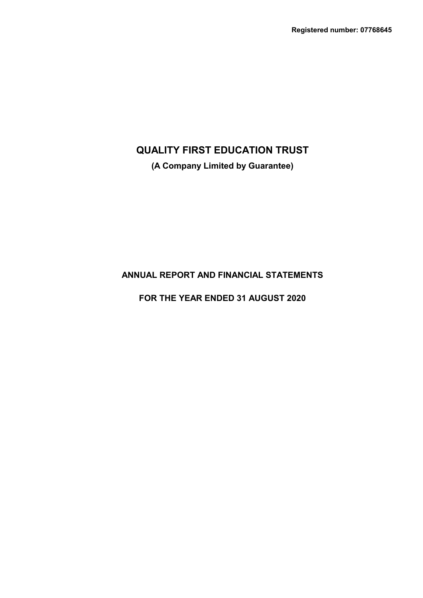**(A Company Limited by Guarantee)**

# **ANNUAL REPORT AND FINANCIAL STATEMENTS**

**FOR THE YEAR ENDED 31 AUGUST 2020**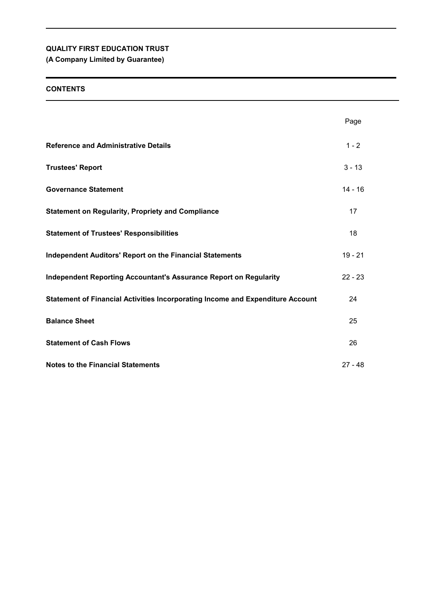**(A Company Limited by Guarantee)**

# **CONTENTS**

|                                                                                | Page      |
|--------------------------------------------------------------------------------|-----------|
| <b>Reference and Administrative Details</b>                                    | $1 - 2$   |
| <b>Trustees' Report</b>                                                        | $3 - 13$  |
| <b>Governance Statement</b>                                                    | $14 - 16$ |
| <b>Statement on Regularity, Propriety and Compliance</b>                       | 17        |
| <b>Statement of Trustees' Responsibilities</b>                                 | 18        |
| <b>Independent Auditors' Report on the Financial Statements</b>                | $19 - 21$ |
| <b>Independent Reporting Accountant's Assurance Report on Regularity</b>       | $22 - 23$ |
| Statement of Financial Activities Incorporating Income and Expenditure Account | 24        |
| <b>Balance Sheet</b>                                                           | 25        |
| <b>Statement of Cash Flows</b>                                                 | 26        |
| <b>Notes to the Financial Statements</b>                                       | $27 - 48$ |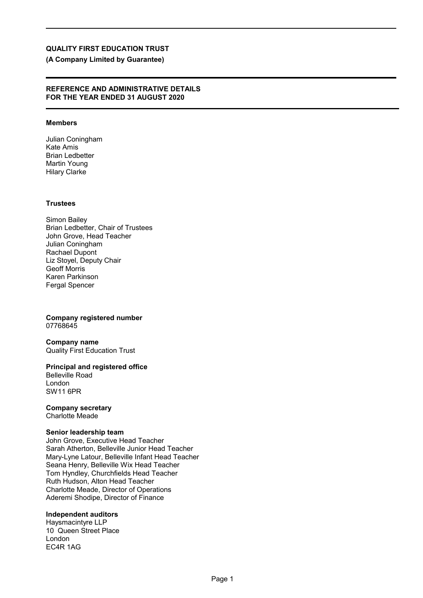# **(A Company Limited by Guarantee)**

### **REFERENCE AND ADMINISTRATIVE DETAILS FOR THE YEAR ENDED 31 AUGUST 2020**

## **Members**

Julian Coningham Kate Amis Brian Ledbetter Martin Young Hilary Clarke

### **Trustees**

Simon Bailey Brian Ledbetter, Chair of Trustees John Grove, Head Teacher Julian Coningham Rachael Dupont Liz Stoyel, Deputy Chair Geoff Morris Karen Parkinson Fergal Spencer

**Company registered number** 07768645

**Company name** Quality First Education Trust

**Principal and registered office** Belleville Road London SW11 6PR

**Company secretary**

Charlotte Meade

### **Senior leadership team**

John Grove, Executive Head Teacher Sarah Atherton, Belleville Junior Head Teacher Mary-Lyne Latour, Belleville Infant Head Teacher Seana Henry, Belleville Wix Head Teacher Tom Hyndley, Churchfields Head Teacher Ruth Hudson, Alton Head Teacher Charlotte Meade, Director of Operations Aderemi Shodipe, Director of Finance

### **Independent auditors**

Haysmacintyre LLP 10 Queen Street Place London EC4R 1AG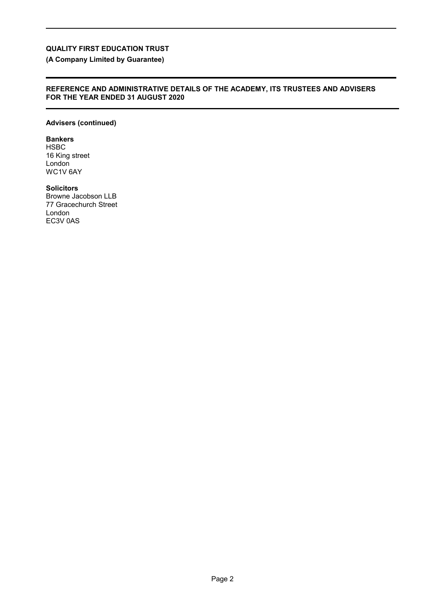**(A Company Limited by Guarantee)**

## **REFERENCE AND ADMINISTRATIVE DETAILS OF THE ACADEMY, ITS TRUSTEES AND ADVISERS FOR THE YEAR ENDED 31 AUGUST 2020**

# **Advisers (continued)**

**Bankers**

HSBC 16 King street London WC1V 6AY

## **Solicitors**

Browne Jacobson LLB 77 Gracechurch Street London EC3V 0AS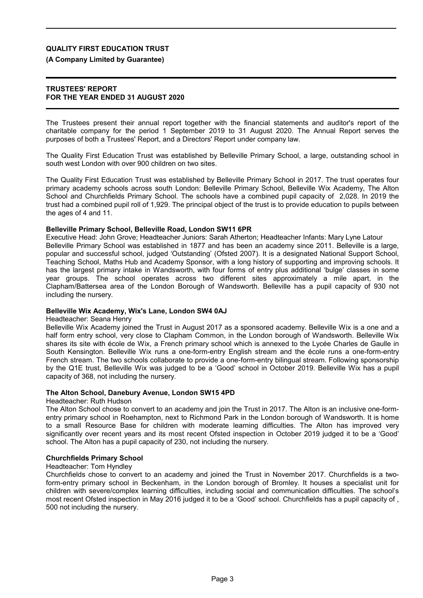## **(A Company Limited by Guarantee)**

### **TRUSTEES' REPORT FOR THE YEAR ENDED 31 AUGUST 2020**

The Trustees present their annual report together with the financial statements and auditor's report of the charitable company for the period 1 September 2019 to 31 August 2020. The Annual Report serves the purposes of both a Trustees' Report, and a Directors' Report under company law.

The Quality First Education Trust was established by Belleville Primary School, a large, outstanding school in south west London with over 900 children on two sites.

The Quality First Education Trust was established by Belleville Primary School in 2017. The trust operates four primary academy schools across south London: Belleville Primary School, Belleville Wix Academy, The Alton School and Churchfields Primary School. The schools have a combined pupil capacity of 2,028. In 2019 the trust had a combined pupil roll of 1,929. The principal object of the trust is to provide education to pupils between the ages of 4 and 11.

### **Belleville Primary School, Belleville Road, London SW11 6PR**

Executive Head: John Grove; Headteacher Juniors: Sarah Atherton; Headteacher Infants: Mary Lyne Latour Belleville Primary School was established in 1877 and has been an academy since 2011. Belleville is a large, popular and successful school, judged 'Outstanding' (Ofsted 2007). It is a designated National Support School, Teaching School, Maths Hub and Academy Sponsor, with a long history of supporting and improving schools. It has the largest primary intake in Wandsworth, with four forms of entry plus additional 'bulge' classes in some year groups. The school operates across two different sites approximately a mile apart, in the Clapham/Battersea area of the London Borough of Wandsworth. Belleville has a pupil capacity of 930 not including the nursery.

### **Belleville Wix Academy, Wix's Lane, London SW4 0AJ**

### Headteacher: Seana Henry

Belleville Wix Academy joined the Trust in August 2017 as a sponsored academy. Belleville Wix is a one and a half form entry school, very close to Clapham Common, in the London borough of Wandsworth. Belleville Wix shares its site with école de Wix, a French primary school which is annexed to the Lycée Charles de Gaulle in South Kensington. Belleville Wix runs a one-form-entry English stream and the école runs a one-form-entry French stream. The two schools collaborate to provide a one-form-entry bilingual stream. Following sponsorship by the Q1E trust, Belleville Wix was judged to be a 'Good' school in October 2019. Belleville Wix has a pupil capacity of 368, not including the nursery.

### **The Alton School, Danebury Avenue, London SW15 4PD**

### Headteacher: Ruth Hudson

The Alton School chose to convert to an academy and join the Trust in 2017. The Alton is an inclusive one-formentry primary school in Roehampton, next to Richmond Park in the London borough of Wandsworth. It is home to a small Resource Base for children with moderate learning difficulties. The Alton has improved very significantly over recent years and its most recent Ofsted inspection in October 2019 judged it to be a 'Good' school. The Alton has a pupil capacity of 230, not including the nursery.

### **Churchfields Primary School**

### Headteacher: Tom Hyndley

Churchfields chose to convert to an academy and joined the Trust in November 2017. Churchfields is a twoform-entry primary school in Beckenham, in the London borough of Bromley. It houses a specialist unit for children with severe/complex learning difficulties, including social and communication difficulties. The school's most recent Ofsted inspection in May 2016 judged it to be a 'Good' school. Churchfields has a pupil capacity of , 500 not including the nursery.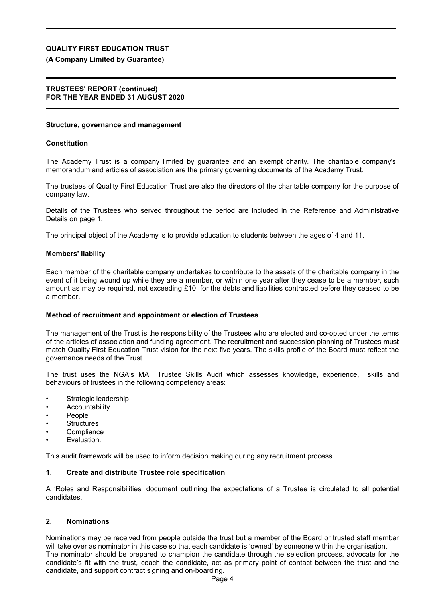## **(A Company Limited by Guarantee)**

### **TRUSTEES' REPORT (continued) FOR THE YEAR ENDED 31 AUGUST 2020**

### **Structure, governance and management**

### **Constitution**

The Academy Trust is a company limited by guarantee and an exempt charity. The charitable company's memorandum and articles of association are the primary governing documents of the Academy Trust.

The trustees of Quality First Education Trust are also the directors of the charitable company for the purpose of company law.

Details of the Trustees who served throughout the period are included in the Reference and Administrative Details on page 1.

The principal object of the Academy is to provide education to students between the ages of 4 and 11.

### **Members' liability**

Each member of the charitable company undertakes to contribute to the assets of the charitable company in the event of it being wound up while they are a member, or within one year after they cease to be a member, such amount as may be required, not exceeding £10, for the debts and liabilities contracted before they ceased to be a member.

## **Method of recruitment and appointment or election of Trustees**

The management of the Trust is the responsibility of the Trustees who are elected and co-opted under the terms of the articles of association and funding agreement. The recruitment and succession planning of Trustees must match Quality First Education Trust vision for the next five years. The skills profile of the Board must reflect the governance needs of the Trust.

The trust uses the NGA's MAT Trustee Skills Audit which assesses knowledge, experience, skills and behaviours of trustees in the following competency areas:

- Strategic leadership
- **Accountability**
- People
- **Structures**
- **Compliance**
- Evaluation.

This audit framework will be used to inform decision making during any recruitment process.

## **1. Create and distribute Trustee role specification**

A 'Roles and Responsibilities' document outlining the expectations of a Trustee is circulated to all potential candidates.

### **2. Nominations**

Nominations may be received from people outside the trust but a member of the Board or trusted staff member will take over as nominator in this case so that each candidate is 'owned' by someone within the organisation. The nominator should be prepared to champion the candidate through the selection process, advocate for the candidate's fit with the trust, coach the candidate, act as primary point of contact between the trust and the candidate, and support contract signing and on-boarding.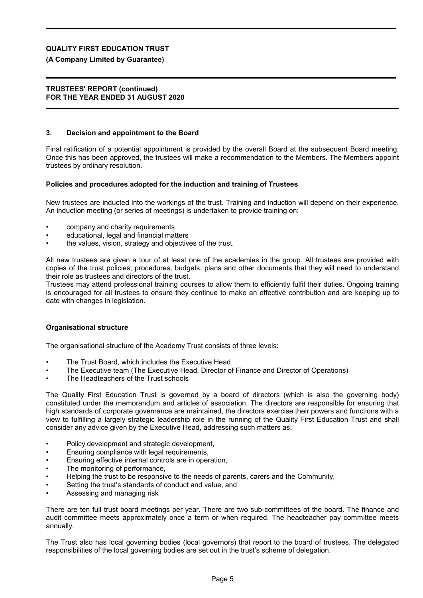## **(A Company Limited by Guarantee)**

### **TRUSTEES' REPORT (continued) FOR THE YEAR ENDED 31 AUGUST 2020**

### **3. Decision and appointment to the Board**

Final ratification of a potential appointment is provided by the overall Board at the subsequent Board meeting. Once this has been approved, the trustees will make a recommendation to the Members. The Members appoint trustees by ordinary resolution.

### **Policies and procedures adopted for the induction and training of Trustees**

New trustees are inducted into the workings of the trust. Training and induction will depend on their experience. An induction meeting (or series of meetings) is undertaken to provide training on:

- company and charity requirements
- educational, legal and financial matters
- the values, vision, strategy and objectives of the trust.

All new trustees are given a tour of at least one of the academies in the group. All trustees are provided with copies of the trust policies, procedures, budgets, plans and other documents that they will need to understand their role as trustees and directors of the trust.

Trustees may attend professional training courses to allow them to efficiently fulfil their duties. Ongoing training is encouraged for all trustees to ensure they continue to make an effective contribution and are keeping up to date with changes in legislation.

## **Organisational structure**

The organisational structure of the Academy Trust consists of three levels:

- The Trust Board, which includes the Executive Head
- The Executive team (The Executive Head, Director of Finance and Director of Operations)
- The Headteachers of the Trust schools

The Quality First Education Trust is governed by a board of directors (which is also the governing body) constituted under the memorandum and articles of association. The directors are responsible for ensuring that high standards of corporate governance are maintained, the directors exercise their powers and functions with a view to fulfilling a largely strategic leadership role in the running of the Quality First Education Trust and shall consider any advice given by the Executive Head, addressing such matters as:

- Policy development and strategic development,
- Ensuring compliance with legal requirements,
- Ensuring effective internal controls are in operation,
- The monitoring of performance.
- Helping the trust to be responsive to the needs of parents, carers and the Community,
- Setting the trust's standards of conduct and value, and
- Assessing and managing risk

There are ten full trust board meetings per year. There are two sub-committees of the board. The finance and audit committee meets approximately once a term or when required. The headteacher pay committee meets annually.

The Trust also has local governing bodies (local governors) that report to the board of trustees. The delegated responsibilities of the local governing bodies are set out in the trust's scheme of delegation.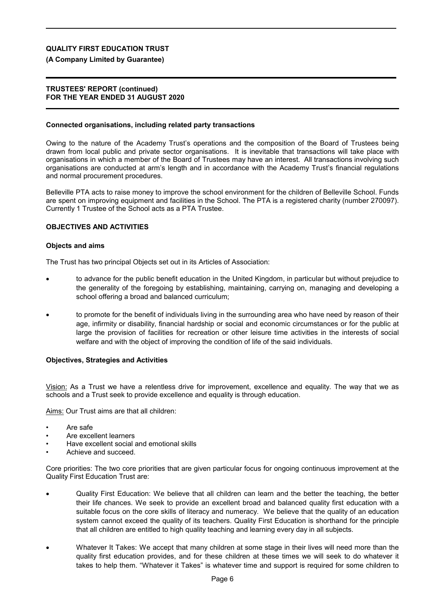## **(A Company Limited by Guarantee)**

### **TRUSTEES' REPORT (continued) FOR THE YEAR ENDED 31 AUGUST 2020**

### **Connected organisations, including related party transactions**

Owing to the nature of the Academy Trust's operations and the composition of the Board of Trustees being drawn from local public and private sector organisations. It is inevitable that transactions will take place with organisations in which a member of the Board of Trustees may have an interest. All transactions involving such organisations are conducted at arm's length and in accordance with the Academy Trust's financial regulations and normal procurement procedures.

Belleville PTA acts to raise money to improve the school environment for the children of Belleville School. Funds are spent on improving equipment and facilities in the School. The PTA is a registered charity (number 270097). Currently 1 Trustee of the School acts as a PTA Trustee.

### **OBJECTIVES AND ACTIVITIES**

### **Objects and aims**

The Trust has two principal Objects set out in its Articles of Association:

- to advance for the public benefit education in the United Kingdom, in particular but without prejudice to the generality of the foregoing by establishing, maintaining, carrying on, managing and developing a school offering a broad and balanced curriculum;
- to promote for the benefit of individuals living in the surrounding area who have need by reason of their age, infirmity or disability, financial hardship or social and economic circumstances or for the public at large the provision of facilities for recreation or other leisure time activities in the interests of social welfare and with the object of improving the condition of life of the said individuals.

## **Objectives, Strategies and Activities**

Vision: As a Trust we have a relentless drive for improvement, excellence and equality. The way that we as schools and a Trust seek to provide excellence and equality is through education.

Aims: Our Trust aims are that all children:

- Are safe
- Are excellent learners
- Have excellent social and emotional skills
- Achieve and succeed.

Core priorities: The two core priorities that are given particular focus for ongoing continuous improvement at the Quality First Education Trust are:

- Quality First Education: We believe that all children can learn and the better the teaching, the better their life chances. We seek to provide an excellent broad and balanced quality first education with a suitable focus on the core skills of literacy and numeracy. We believe that the quality of an education system cannot exceed the quality of its teachers. Quality First Education is shorthand for the principle that all children are entitled to high quality teaching and learning every day in all subjects.
- Whatever It Takes: We accept that many children at some stage in their lives will need more than the quality first education provides, and for these children at these times we will seek to do whatever it takes to help them. "Whatever it Takes" is whatever time and support is required for some children to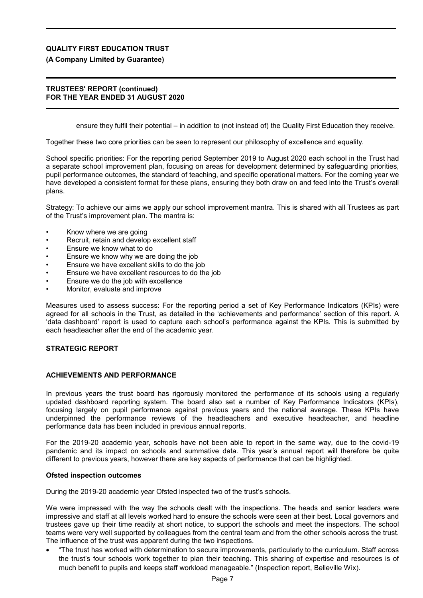## **(A Company Limited by Guarantee)**

### **TRUSTEES' REPORT (continued) FOR THE YEAR ENDED 31 AUGUST 2020**

ensure they fulfil their potential – in addition to (not instead of) the Quality First Education they receive.

Together these two core priorities can be seen to represent our philosophy of excellence and equality.

School specific priorities: For the reporting period September 2019 to August 2020 each school in the Trust had a separate school improvement plan, focusing on areas for development determined by safeguarding priorities, pupil performance outcomes, the standard of teaching, and specific operational matters. For the coming year we have developed a consistent format for these plans, ensuring they both draw on and feed into the Trust's overall plans.

Strategy: To achieve our aims we apply our school improvement mantra. This is shared with all Trustees as part of the Trust's improvement plan. The mantra is:

- Know where we are going
- Recruit, retain and develop excellent staff
- Ensure we know what to do
- Ensure we know why we are doing the job
- Ensure we have excellent skills to do the job
- Ensure we have excellent resources to do the job
- Ensure we do the job with excellence
- Monitor, evaluate and improve

Measures used to assess success: For the reporting period a set of Key Performance Indicators (KPIs) were agreed for all schools in the Trust, as detailed in the 'achievements and performance' section of this report. A 'data dashboard' report is used to capture each school's performance against the KPIs. This is submitted by each headteacher after the end of the academic year.

# **STRATEGIC REPORT**

## **ACHIEVEMENTS AND PERFORMANCE**

In previous years the trust board has rigorously monitored the performance of its schools using a regularly updated dashboard reporting system. The board also set a number of Key Performance Indicators (KPIs), focusing largely on pupil performance against previous years and the national average. These KPIs have underpinned the performance reviews of the headteachers and executive headteacher, and headline performance data has been included in previous annual reports.

For the 2019-20 academic year, schools have not been able to report in the same way, due to the covid-19 pandemic and its impact on schools and summative data. This year's annual report will therefore be quite different to previous years, however there are key aspects of performance that can be highlighted.

### **Ofsted inspection outcomes**

During the 2019-20 academic year Ofsted inspected two of the trust's schools.

We were impressed with the way the schools dealt with the inspections. The heads and senior leaders were impressive and staff at all levels worked hard to ensure the schools were seen at their best. Local governors and trustees gave up their time readily at short notice, to support the schools and meet the inspectors. The school teams were very well supported by colleagues from the central team and from the other schools across the trust. The influence of the trust was apparent during the two inspections.

 "The trust has worked with determination to secure improvements, particularly to the curriculum. Staff across the trust's four schools work together to plan their teaching. This sharing of expertise and resources is of much benefit to pupils and keeps staff workload manageable." (Inspection report, Belleville Wix).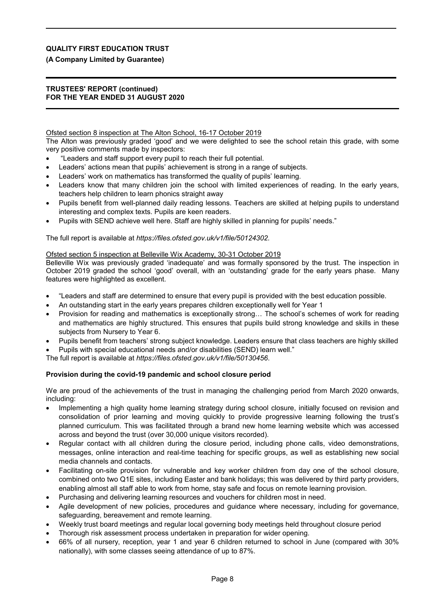# **(A Company Limited by Guarantee)**

### **TRUSTEES' REPORT (continued) FOR THE YEAR ENDED 31 AUGUST 2020**

### Ofsted section 8 inspection at The Alton School, 16-17 October 2019

The Alton was previously graded 'good' and we were delighted to see the school retain this grade, with some very positive comments made by inspectors:

- "Leaders and staff support every pupil to reach their full potential.
- Leaders' actions mean that pupils' achievement is strong in a range of subjects.
- Leaders' work on mathematics has transformed the quality of pupils' learning.
- Leaders know that many children join the school with limited experiences of reading. In the early years, teachers help children to learn phonics straight away
- Pupils benefit from well-planned daily reading lessons. Teachers are skilled at helping pupils to understand interesting and complex texts. Pupils are keen readers.
- Pupils with SEND achieve well here. Staff are highly skilled in planning for pupils' needs."

The full report is available at *https://files.ofsted.gov.uk/v1/file/50124302.*

### Ofsted section 5 inspection at Belleville Wix Academy, 30-31 October 2019

Belleville Wix was previously graded 'inadequate' and was formally sponsored by the trust. The inspection in October 2019 graded the school 'good' overall, with an 'outstanding' grade for the early years phase. Many features were highlighted as excellent.

- "Leaders and staff are determined to ensure that every pupil is provided with the best education possible.
- An outstanding start in the early years prepares children exceptionally well for Year 1
- Provision for reading and mathematics is exceptionally strong… The school's schemes of work for reading and mathematics are highly structured. This ensures that pupils build strong knowledge and skills in these subjects from Nursery to Year 6.
- Pupils benefit from teachers' strong subject knowledge. Leaders ensure that class teachers are highly skilled
- Pupils with special educational needs and/or disabilities (SEND) learn well."

The full report is available at *https://files.ofsted.gov.uk/v1/file/50130456*.

## **Provision during the covid-19 pandemic and school closure period**

We are proud of the achievements of the trust in managing the challenging period from March 2020 onwards, including:

- Implementing a high quality home learning strategy during school closure, initially focused on revision and consolidation of prior learning and moving quickly to provide progressive learning following the trust's planned curriculum. This was facilitated through a brand new home learning website which was accessed across and beyond the trust (over 30,000 unique visitors recorded).
- Regular contact with all children during the closure period, including phone calls, video demonstrations, messages, online interaction and real-time teaching for specific groups, as well as establishing new social media channels and contacts.
- Facilitating on-site provision for vulnerable and key worker children from day one of the school closure, combined onto two Q1E sites, including Easter and bank holidays; this was delivered by third party providers, enabling almost all staff able to work from home, stay safe and focus on remote learning provision.
- Purchasing and delivering learning resources and vouchers for children most in need.
- Agile development of new policies, procedures and guidance where necessary, including for governance, safeguarding, bereavement and remote learning.
- Weekly trust board meetings and regular local governing body meetings held throughout closure period
- Thorough risk assessment process undertaken in preparation for wider opening.
- 66% of all nursery, reception, year 1 and year 6 children returned to school in June (compared with 30% nationally), with some classes seeing attendance of up to 87%.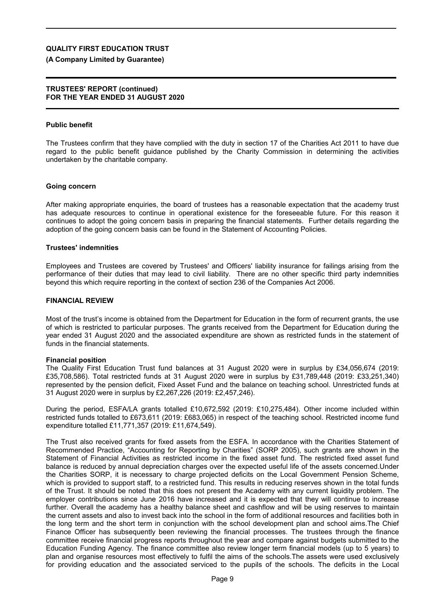## **(A Company Limited by Guarantee)**

### **TRUSTEES' REPORT (continued) FOR THE YEAR ENDED 31 AUGUST 2020**

### **Public benefit**

The Trustees confirm that they have complied with the duty in section 17 of the Charities Act 2011 to have due regard to the public benefit guidance published by the Charity Commission in determining the activities undertaken by the charitable company.

### **Going concern**

After making appropriate enquiries, the board of trustees has a reasonable expectation that the academy trust has adequate resources to continue in operational existence for the foreseeable future. For this reason it continues to adopt the going concern basis in preparing the financial statements. Further details regarding the adoption of the going concern basis can be found in the Statement of Accounting Policies.

### **Trustees' indemnities**

Employees and Trustees are covered by Trustees' and Officers' liability insurance for failings arising from the performance of their duties that may lead to civil liability. There are no other specific third party indemnities beyond this which require reporting in the context of section 236 of the Companies Act 2006.

### **FINANCIAL REVIEW**

Most of the trust's income is obtained from the Department for Education in the form of recurrent grants, the use of which is restricted to particular purposes. The grants received from the Department for Education during the year ended 31 August 2020 and the associated expenditure are shown as restricted funds in the statement of funds in the financial statements.

### **Financial position**

The Quality First Education Trust fund balances at 31 August 2020 were in surplus by £34,056,674 (2019: £35,708,586). Total restricted funds at 31 August 2020 were in surplus by £31,789,448 (2019: £33,251,340) represented by the pension deficit, Fixed Asset Fund and the balance on teaching school. Unrestricted funds at 31 August 2020 were in surplus by £2,267,226 (2019: £2,457,246).

During the period, ESFA/LA grants totalled £10,672,592 (2019: £10,275,484). Other income included within restricted funds totalled to £673,611 (2019: £683,065) in respect of the teaching school. Restricted income fund expenditure totalled £11,771,357 (2019: £11,674,549).

The Trust also received grants for fixed assets from the ESFA. In accordance with the Charities Statement of Recommended Practice, "Accounting for Reporting by Charities" (SORP 2005), such grants are shown in the Statement of Financial Activities as restricted income in the fixed asset fund. The restricted fixed asset fund balance is reduced by annual depreciation charges over the expected useful life of the assets concerned.Under the Charities SORP, it is necessary to charge projected deficits on the Local Government Pension Scheme, which is provided to support staff, to a restricted fund. This results in reducing reserves shown in the total funds of the Trust. It should be noted that this does not present the Academy with any current liquidity problem. The employer contributions since June 2016 have increased and it is expected that they will continue to increase further. Overall the academy has a healthy balance sheet and cashflow and will be using reserves to maintain the current assets and also to invest back into the school in the form of additional resources and facilities both in the long term and the short term in conjunction with the school development plan and school aims.The Chief Finance Officer has subsequently been reviewing the financial processes. The trustees through the finance committee receive financial progress reports throughout the year and compare against budgets submitted to the Education Funding Agency. The finance committee also review longer term financial models (up to 5 years) to plan and organise resources most effectively to fulfil the aims of the schools.The assets were used exclusively for providing education and the associated serviced to the pupils of the schools. The deficits in the Local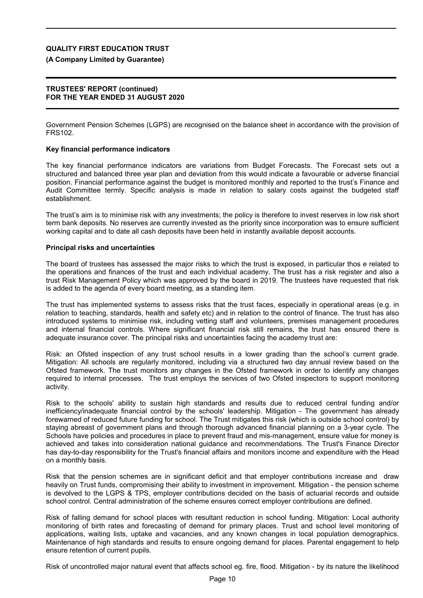## **(A Company Limited by Guarantee)**

### **TRUSTEES' REPORT (continued) FOR THE YEAR ENDED 31 AUGUST 2020**

Government Pension Schemes (LGPS) are recognised on the balance sheet in accordance with the provision of FRS102.

### **Key financial performance indicators**

The key financial performance indicators are variations from Budget Forecasts. The Forecast sets out a structured and balanced three year plan and deviation from this would indicate a favourable or adverse financial position. Financial performance against the budget is monitored monthly and reported to the trust's Finance and Audit Committee termly. Specific analysis is made in relation to salary costs against the budgeted staff establishment.

The trust's aim is to minimise risk with any investments; the policy is therefore to invest reserves in low risk short term bank deposits. No reserves are currently invested as the priority since incorporation was to ensure sufficient working capital and to date all cash deposits have been held in instantly available deposit accounts.

### **Principal risks and uncertainties**

The board of trustees has assessed the major risks to which the trust is exposed, in particular thos e related to the operations and finances of the trust and each individual academy. The trust has a risk register and also a trust Risk Management Policy which was approved by the board in 2019. The trustees have requested that risk is added to the agenda of every board meeting, as a standing item.

The trust has implemented systems to assess risks that the trust faces, especially in operational areas (e.g. in relation to teaching, standards, health and safety etc) and in relation to the control of finance. The trust has also introduced systems to minimise risk, including vetting staff and volunteers, premises management procedures and internal financial controls. Where significant financial risk still remains, the trust has ensured there is adequate insurance cover. The principal risks and uncertainties facing the academy trust are:

Risk: an Ofsted inspection of any trust school results in a lower grading than the school's current grade. Mitigation: All schools are regularly monitored, including via a structured two day annual review based on the Ofsted framework. The trust monitors any changes in the Ofsted framework in order to identify any changes required to internal processes. The trust employs the services of two Ofsted inspectors to support monitoring activity.

Risk to the schools' ability to sustain high standards and results due to reduced central funding and/or inefficiency/inadequate financial control by the schools' leadership. Mitigation - The government has already forewarned of reduced future funding for school. The Trust mitigates this risk (which is outside school control) by staying abreast of government plans and through thorough advanced financial planning on a 3-year cycle. The Schools have policies and procedures in place to prevent fraud and mis-management, ensure value for money is achieved and takes into consideration national guidance and recommendations. The Trust's Finance Director has day-to-day responsibility for the Trust's financial affairs and monitors income and expenditure with the Head on a monthly basis.

Risk that the pension schemes are in significant deficit and that employer contributions increase and draw heavily on Trust funds, compromising their ability to investment in improvement. Mitigation - the pension scheme is devolved to the LGPS & TPS, employer contributions decided on the basis of actuarial records and outside school control. Central administration of the scheme ensures correct employer contributions are defined.

Risk of falling demand for school places with resultant reduction in school funding. Mitigation: Local authority monitoring of birth rates and forecasting of demand for primary places. Trust and school level monitoring of applications, waiting lists, uptake and vacancies, and any known changes in local population demographics. Maintenance of high standards and results to ensure ongoing demand for places. Parental engagement to help ensure retention of current pupils.

Risk of uncontrolled major natural event that affects school eg. fire, flood. Mitigation - by its nature the likelihood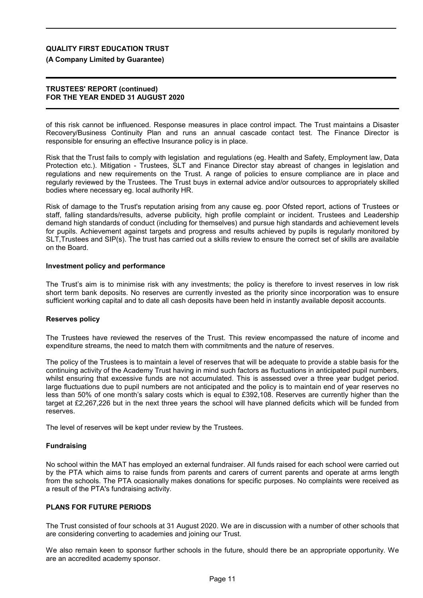## **(A Company Limited by Guarantee)**

### **TRUSTEES' REPORT (continued) FOR THE YEAR ENDED 31 AUGUST 2020**

of this risk cannot be influenced. Response measures in place control impact. The Trust maintains a Disaster Recovery/Business Continuity Plan and runs an annual cascade contact test. The Finance Director is responsible for ensuring an effective Insurance policy is in place.

Risk that the Trust fails to comply with legislation and regulations (eg. Health and Safety, Employment law, Data Protection etc.). Mitigation - Trustees, SLT and Finance Director stay abreast of changes in legislation and regulations and new requirements on the Trust. A range of policies to ensure compliance are in place and regularly reviewed by the Trustees. The Trust buys in external advice and/or outsources to appropriately skilled bodies where necessary eg. local authority HR.

Risk of damage to the Trust's reputation arising from any cause eg. poor Ofsted report, actions of Trustees or staff, falling standards/results, adverse publicity, high profile complaint or incident. Trustees and Leadership demand high standards of conduct (including for themselves) and pursue high standards and achievement levels for pupils. Achievement against targets and progress and results achieved by pupils is regularly monitored by SLT,Trustees and SIP(s). The trust has carried out a skills review to ensure the correct set of skills are available on the Board.

### **Investment policy and performance**

The Trust's aim is to minimise risk with any investments; the policy is therefore to invest reserves in low risk short term bank deposits. No reserves are currently invested as the priority since incorporation was to ensure sufficient working capital and to date all cash deposits have been held in instantly available deposit accounts.

### **Reserves policy**

The Trustees have reviewed the reserves of the Trust. This review encompassed the nature of income and expenditure streams, the need to match them with commitments and the nature of reserves.

The policy of the Trustees is to maintain a level of reserves that will be adequate to provide a stable basis for the continuing activity of the Academy Trust having in mind such factors as fluctuations in anticipated pupil numbers, whilst ensuring that excessive funds are not accumulated. This is assessed over a three year budget period. large fluctuations due to pupil numbers are not anticipated and the policy is to maintain end of year reserves no less than 50% of one month's salary costs which is equal to £392,108. Reserves are currently higher than the target at £2,267,226 but in the next three years the school will have planned deficits which will be funded from reserves.

The level of reserves will be kept under review by the Trustees.

### **Fundraising**

No school within the MAT has employed an external fundraiser. All funds raised for each school were carried out by the PTA which aims to raise funds from parents and carers of current parents and operate at arms length from the schools. The PTA ocasionally makes donations for specific purposes. No complaints were received as a result of the PTA's fundraising activity.

## **PLANS FOR FUTURE PERIODS**

The Trust consisted of four schools at 31 August 2020. We are in discussion with a number of other schools that are considering converting to academies and joining our Trust.

We also remain keen to sponsor further schools in the future, should there be an appropriate opportunity. We are an accredited academy sponsor.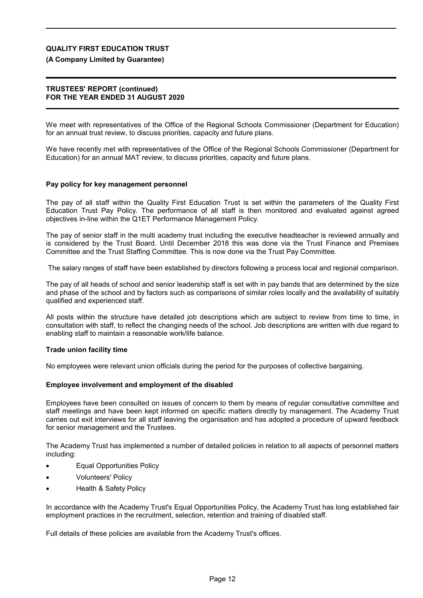## **(A Company Limited by Guarantee)**

### **TRUSTEES' REPORT (continued) FOR THE YEAR ENDED 31 AUGUST 2020**

We meet with representatives of the Office of the Regional Schools Commissioner (Department for Education) for an annual trust review, to discuss priorities, capacity and future plans.

We have recently met with representatives of the Office of the Regional Schools Commissioner (Department for Education) for an annual MAT review, to discuss priorities, capacity and future plans.

### **Pay policy for key management personnel**

The pay of all staff within the Quality First Education Trust is set within the parameters of the Quality First Education Trust Pay Policy. The performance of all staff is then monitored and evaluated against agreed objectives in-line within the Q1ET Performance Management Policy.

The pay of senior staff in the multi academy trust including the executive headteacher is reviewed annually and is considered by the Trust Board. Until December 2018 this was done via the Trust Finance and Premises Committee and the Trust Staffing Committee. This is now done via the Trust Pay Committee.

The salary ranges of staff have been established by directors following a process local and regional comparison.

The pay of all heads of school and senior leadership staff is set with in pay bands that are determined by the size and phase of the school and by factors such as comparisons of similar roles locally and the availability of suitably qualified and experienced staff.

All posts within the structure have detailed job descriptions which are subject to review from time to time, in consultation with staff, to reflect the changing needs of the school. Job descriptions are written with due regard to enabling staff to maintain a reasonable work/life balance.

### **Trade union facility time**

No employees were relevant union officials during the period for the purposes of collective bargaining.

### **Employee involvement and employment of the disabled**

Employees have been consulted on issues of concern to them by means of regular consultative committee and staff meetings and have been kept informed on specific matters directly by management. The Academy Trust carries out exit interviews for all staff leaving the organisation and has adopted a procedure of upward feedback for senior management and the Trustees.

The Academy Trust has implemented a number of detailed policies in relation to all aspects of personnel matters including:

- Equal Opportunities Policy
- Volunteers' Policy
- Health & Safety Policy

In accordance with the Academy Trust's Equal Opportunities Policy, the Academy Trust has long established fair employment practices in the recruitment, selection, retention and training of disabled staff.

Full details of these policies are available from the Academy Trust's offices.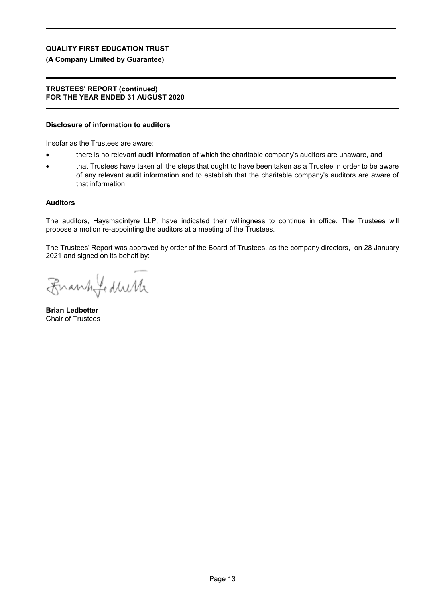## **(A Company Limited by Guarantee)**

### **TRUSTEES' REPORT (continued) FOR THE YEAR ENDED 31 AUGUST 2020**

#### **Disclosure of information to auditors**

Insofar as the Trustees are aware:

- there is no relevant audit information of which the charitable company's auditors are unaware, and
- that Trustees have taken all the steps that ought to have been taken as a Trustee in order to be aware of any relevant audit information and to establish that the charitable company's auditors are aware of that information.

#### **Auditors**

The auditors, Haysmacintyre LLP, have indicated their willingness to continue in office. The Trustees will propose a motion re-appointing the auditors at a meeting of the Trustees.

The Trustees' Report was approved by order of the Board of Trustees, as the company directors, on 28 January 2021 and signed on its behalf by:

Frankfedulk

**Brian Ledbetter** Chair of Trustees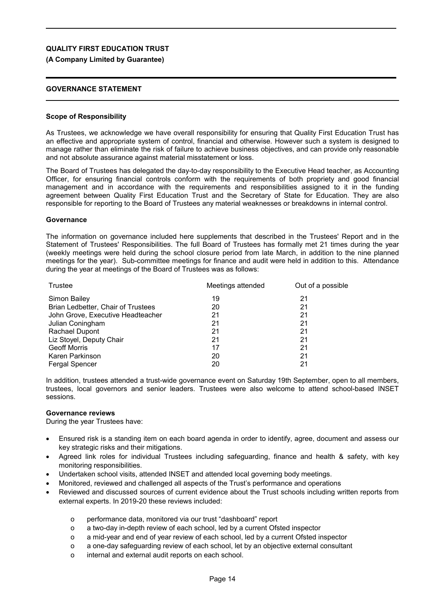## **(A Company Limited by Guarantee)**

### **GOVERNANCE STATEMENT**

### **Scope of Responsibility**

As Trustees, we acknowledge we have overall responsibility for ensuring that Quality First Education Trust has an effective and appropriate system of control, financial and otherwise. However such a system is designed to manage rather than eliminate the risk of failure to achieve business objectives, and can provide only reasonable and not absolute assurance against material misstatement or loss.

The Board of Trustees has delegated the day-to-day responsibility to the Executive Head teacher, as Accounting Officer, for ensuring financial controls conform with the requirements of both propriety and good financial management and in accordance with the requirements and responsibilities assigned to it in the funding agreement between Quality First Education Trust and the Secretary of State for Education. They are also responsible for reporting to the Board of Trustees any material weaknesses or breakdowns in internal control.

### **Governance**

The information on governance included here supplements that described in the Trustees' Report and in the Statement of Trustees' Responsibilities. The full Board of Trustees has formally met 21 times during the year (weekly meetings were held during the school closure period from late March, in addition to the nine planned meetings for the year). Sub-committee meetings for finance and audit were held in addition to this. Attendance during the year at meetings of the Board of Trustees was as follows:

| Trustee                            | Meetings attended | Out of a possible |
|------------------------------------|-------------------|-------------------|
| <b>Simon Bailey</b>                | 19                | 21                |
| Brian Ledbetter, Chair of Trustees | 20                | 21                |
| John Grove, Executive Headteacher  | 21                | 21                |
| Julian Coningham                   | 21                | 21                |
| Rachael Dupont                     | 21                | 21                |
| Liz Stoyel, Deputy Chair           | 21                | 21                |
| <b>Geoff Morris</b>                | 17                | 21                |
| Karen Parkinson                    | 20                | 21                |
| <b>Fergal Spencer</b>              | 20                | 21                |

In addition, trustees attended a trust-wide governance event on Saturday 19th September, open to all members, trustees, local governors and senior leaders. Trustees were also welcome to attend school-based INSET sessions.

### **Governance reviews**

During the year Trustees have:

- Ensured risk is a standing item on each board agenda in order to identify, agree, document and assess our key strategic risks and their mitigations.
- Agreed link roles for individual Trustees including safeguarding, finance and health & safety, with key monitoring responsibilities.
- Undertaken school visits, attended INSET and attended local governing body meetings.
- Monitored, reviewed and challenged all aspects of the Trust's performance and operations
- Reviewed and discussed sources of current evidence about the Trust schools including written reports from external experts. In 2019-20 these reviews included:
	- o performance data, monitored via our trust "dashboard" report
	- o a two-day in-depth review of each school, led by a current Ofsted inspector
	- o a mid-year and end of year review of each school, led by a current Ofsted inspector
	- o a one-day safeguarding review of each school, let by an objective external consultant
	- o internal and external audit reports on each school.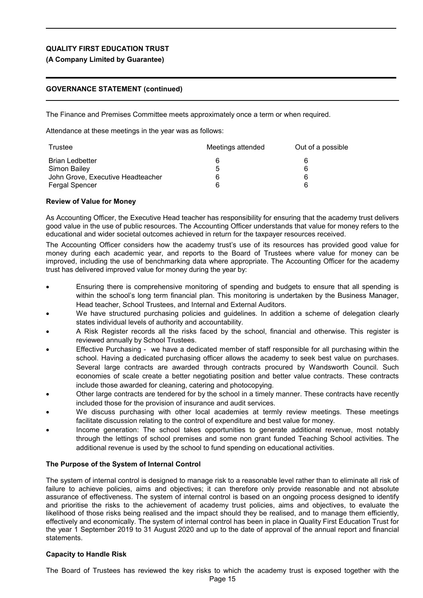# **(A Company Limited by Guarantee)**

# **GOVERNANCE STATEMENT (continued)**

The Finance and Premises Committee meets approximately once a term or when required.

Attendance at these meetings in the year was as follows:

| Trustee                           | Meetings attended | Out of a possible |  |
|-----------------------------------|-------------------|-------------------|--|
| <b>Brian Ledbetter</b>            |                   |                   |  |
| Simon Bailey                      | 5                 |                   |  |
| John Grove, Executive Headteacher |                   | 6                 |  |
| <b>Fergal Spencer</b>             |                   |                   |  |

## **Review of Value for Money**

As Accounting Officer, the Executive Head teacher has responsibility for ensuring that the academy trust delivers good value in the use of public resources. The Accounting Officer understands that value for money refers to the educational and wider societal outcomes achieved in return for the taxpayer resources received.

The Accounting Officer considers how the academy trust's use of its resources has provided good value for money during each academic year, and reports to the Board of Trustees where value for money can be improved, including the use of benchmarking data where appropriate. The Accounting Officer for the academy trust has delivered improved value for money during the year by:

- Ensuring there is comprehensive monitoring of spending and budgets to ensure that all spending is within the school's long term financial plan. This monitoring is undertaken by the Business Manager, Head teacher, School Trustees, and Internal and External Auditors.
- We have structured purchasing policies and guidelines. In addition a scheme of delegation clearly states individual levels of authority and accountability.
- A Risk Register records all the risks faced by the school, financial and otherwise. This register is reviewed annually by School Trustees.
- Effective Purchasing we have a dedicated member of staff responsible for all purchasing within the school. Having a dedicated purchasing officer allows the academy to seek best value on purchases. Several large contracts are awarded through contracts procured by Wandsworth Council. Such economies of scale create a better negotiating position and better value contracts. These contracts include those awarded for cleaning, catering and photocopying.
- Other large contracts are tendered for by the school in a timely manner. These contracts have recently included those for the provision of insurance and audit services.
- We discuss purchasing with other local academies at termly review meetings. These meetings facilitate discussion relating to the control of expenditure and best value for money.
- Income generation: The school takes opportunities to generate additional revenue, most notably through the lettings of school premises and some non grant funded Teaching School activities. The additional revenue is used by the school to fund spending on educational activities.

## **The Purpose of the System of Internal Control**

The system of internal control is designed to manage risk to a reasonable level rather than to eliminate all risk of failure to achieve policies, aims and objectives; it can therefore only provide reasonable and not absolute assurance of effectiveness. The system of internal control is based on an ongoing process designed to identify and prioritise the risks to the achievement of academy trust policies, aims and objectives, to evaluate the likelihood of those risks being realised and the impact should they be realised, and to manage them efficiently, effectively and economically. The system of internal control has been in place in Quality First Education Trust for the year 1 September 2019 to 31 August 2020 and up to the date of approval of the annual report and financial statements.

## **Capacity to Handle Risk**

The Board of Trustees has reviewed the key risks to which the academy trust is exposed together with the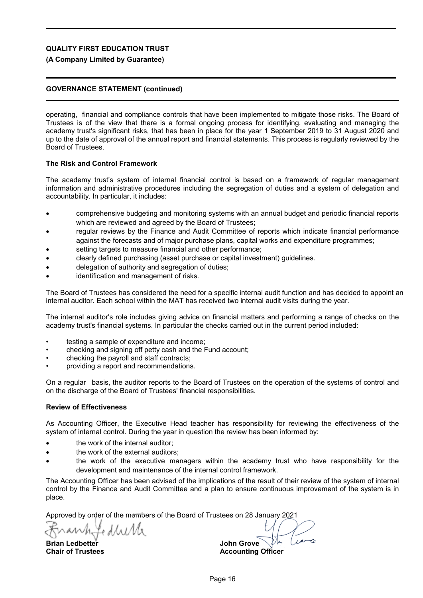## **(A Company Limited by Guarantee)**

## **GOVERNANCE STATEMENT (continued)**

operating, financial and compliance controls that have been implemented to mitigate those risks. The Board of Trustees is of the view that there is a formal ongoing process for identifying, evaluating and managing the academy trust's significant risks, that has been in place for the year 1 September 2019 to 31 August 2020 and up to the date of approval of the annual report and financial statements. This process is regularly reviewed by the Board of Trustees.

### **The Risk and Control Framework**

The academy trust's system of internal financial control is based on a framework of regular management information and administrative procedures including the segregation of duties and a system of delegation and accountability. In particular, it includes:

- comprehensive budgeting and monitoring systems with an annual budget and periodic financial reports which are reviewed and agreed by the Board of Trustees;
- regular reviews by the Finance and Audit Committee of reports which indicate financial performance against the forecasts and of major purchase plans, capital works and expenditure programmes;
- setting targets to measure financial and other performance;
- clearly defined purchasing (asset purchase or capital investment) guidelines.
- delegation of authority and segregation of duties;
- identification and management of risks.

The Board of Trustees has considered the need for a specific internal audit function and has decided to appoint an internal auditor. Each school within the MAT has received two internal audit visits during the year.

The internal auditor's role includes giving advice on financial matters and performing a range of checks on the academy trust's financial systems. In particular the checks carried out in the current period included:

- testing a sample of expenditure and income;
- checking and signing off petty cash and the Fund account;
- checking the payroll and staff contracts;
- providing a report and recommendations.

On a regular basis, the auditor reports to the Board of Trustees on the operation of the systems of control and on the discharge of the Board of Trustees' financial responsibilities.

### **Review of Effectiveness**

As Accounting Officer, the Executive Head teacher has responsibility for reviewing the effectiveness of the system of internal control. During the year in question the review has been informed by:

- the work of the internal auditor;
- the work of the external auditors;
- the work of the executive managers within the academy trust who have responsibility for the development and maintenance of the internal control framework.

The Accounting Officer has been advised of the implications of the result of their review of the system of internal control by the Finance and Audit Committee and a plan to ensure continuous improvement of the system is in place.

Approved by order of the members of the Board of Trustees on 28 January 2021

Le d brit

**Brian Ledbetter Chair of Trustees**

 $10^{-1}$ **John Grove**

**Accounting Officer**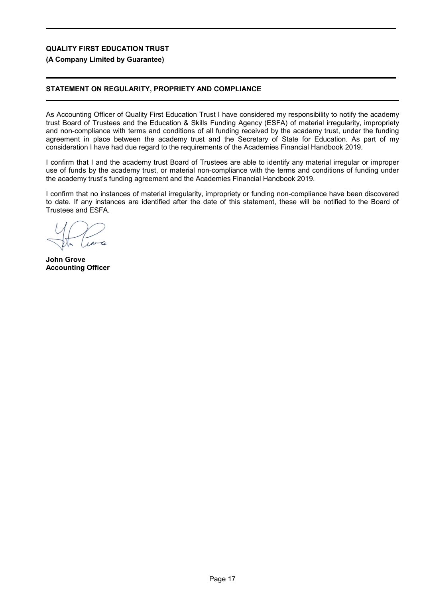## **(A Company Limited by Guarantee)**

# **STATEMENT ON REGULARITY, PROPRIETY AND COMPLIANCE**

As Accounting Officer of Quality First Education Trust I have considered my responsibility to notify the academy trust Board of Trustees and the Education & Skills Funding Agency (ESFA) of material irregularity, impropriety and non-compliance with terms and conditions of all funding received by the academy trust, under the funding agreement in place between the academy trust and the Secretary of State for Education. As part of my consideration I have had due regard to the requirements of the Academies Financial Handbook 2019.

I confirm that I and the academy trust Board of Trustees are able to identify any material irregular or improper use of funds by the academy trust, or material non-compliance with the terms and conditions of funding under the academy trust's funding agreement and the Academies Financial Handbook 2019.

I confirm that no instances of material irregularity, impropriety or funding non-compliance have been discovered to date. If any instances are identified after the date of this statement, these will be notified to the Board of Trustees and ESFA.

**John Grove Accounting Officer**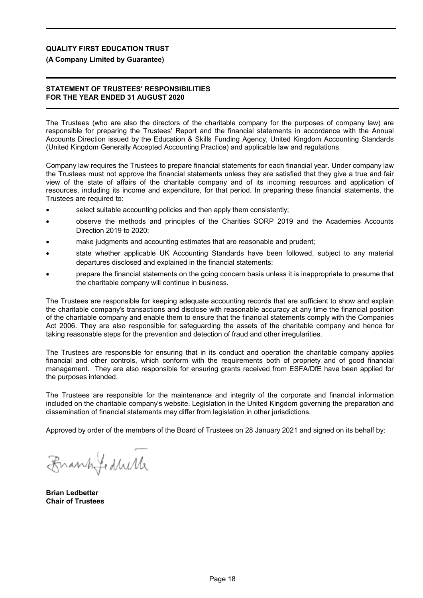## **(A Company Limited by Guarantee)**

### **STATEMENT OF TRUSTEES' RESPONSIBILITIES FOR THE YEAR ENDED 31 AUGUST 2020**

The Trustees (who are also the directors of the charitable company for the purposes of company law) are responsible for preparing the Trustees' Report and the financial statements in accordance with the Annual Accounts Direction issued by the Education & Skills Funding Agency, United Kingdom Accounting Standards (United Kingdom Generally Accepted Accounting Practice) and applicable law and regulations.

Company law requires the Trustees to prepare financial statements for each financial year. Under company law the Trustees must not approve the financial statements unless they are satisfied that they give a true and fair view of the state of affairs of the charitable company and of its incoming resources and application of resources, including its income and expenditure, for that period. In preparing these financial statements, the Trustees are required to:

- select suitable accounting policies and then apply them consistently;
- observe the methods and principles of the Charities SORP 2019 and the Academies Accounts Direction 2019 to 2020;
- make judgments and accounting estimates that are reasonable and prudent;
- state whether applicable UK Accounting Standards have been followed, subject to any material departures disclosed and explained in the financial statements;
- prepare the financial statements on the going concern basis unless it is inappropriate to presume that the charitable company will continue in business.

The Trustees are responsible for keeping adequate accounting records that are sufficient to show and explain the charitable company's transactions and disclose with reasonable accuracy at any time the financial position of the charitable company and enable them to ensure that the financial statements comply with the Companies Act 2006. They are also responsible for safeguarding the assets of the charitable company and hence for taking reasonable steps for the prevention and detection of fraud and other irregularities.

The Trustees are responsible for ensuring that in its conduct and operation the charitable company applies financial and other controls, which conform with the requirements both of propriety and of good financial management. They are also responsible for ensuring grants received from ESFA/DfE have been applied for the purposes intended.

The Trustees are responsible for the maintenance and integrity of the corporate and financial information included on the charitable company's website. Legislation in the United Kingdom governing the preparation and dissemination of financial statements may differ from legislation in other jurisdictions.

Approved by order of the members of the Board of Trustees on 28 January 2021 and signed on its behalf by:

Frankfeduck

**Brian Ledbetter Chair of Trustees**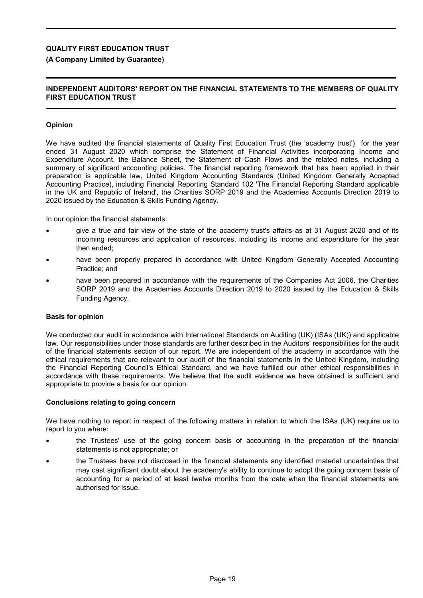## **(A Company Limited by Guarantee)**

## **INDEPENDENT AUDITORS' REPORT ON THE FINANCIAL STATEMENTS TO THE MEMBERS OF QUALITY FIRST EDUCATION TRUST**

## **Opinion**

We have audited the financial statements of Quality First Education Trust (the 'academy trust') for the year ended 31 August 2020 which comprise the Statement of Financial Activities incorporating Income and Expenditure Account, the Balance Sheet, the Statement of Cash Flows and the related notes, including a summary of significant accounting policies. The financial reporting framework that has been applied in their preparation is applicable law, United Kingdom Accounting Standards (United Kingdom Generally Accepted Accounting Practice), including Financial Reporting Standard 102 'The Financial Reporting Standard applicable in the UK and Republic of Ireland', the Charities SORP 2019 and the Academies Accounts Direction 2019 to 2020 issued by the Education & Skills Funding Agency.

In our opinion the financial statements:

- give a true and fair view of the state of the academy trust's affairs as at 31 August 2020 and of its incoming resources and application of resources, including its income and expenditure for the year then ended;
- have been properly prepared in accordance with United Kingdom Generally Accepted Accounting Practice; and
- have been prepared in accordance with the requirements of the Companies Act 2006, the Charities SORP 2019 and the Academies Accounts Direction 2019 to 2020 issued by the Education & Skills Funding Agency.

### **Basis for opinion**

We conducted our audit in accordance with International Standards on Auditing (UK) (ISAs (UK)) and applicable law. Our responsibilities under those standards are further described in the Auditors' responsibilities for the audit of the financial statements section of our report. We are independent of the academy in accordance with the ethical requirements that are relevant to our audit of the financial statements in the United Kingdom, including the Financial Reporting Council's Ethical Standard, and we have fulfilled our other ethical responsibilities in accordance with these requirements. We believe that the audit evidence we have obtained is sufficient and appropriate to provide a basis for our opinion.

### **Conclusions relating to going concern**

We have nothing to report in respect of the following matters in relation to which the ISAs (UK) require us to report to you where:

- the Trustees' use of the going concern basis of accounting in the preparation of the financial statements is not appropriate; or
- the Trustees have not disclosed in the financial statements any identified material uncertainties that may cast significant doubt about the academy's ability to continue to adopt the going concern basis of accounting for a period of at least twelve months from the date when the financial statements are authorised for issue.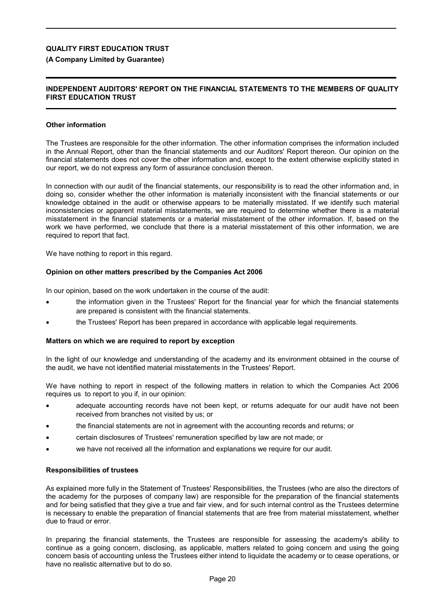## **(A Company Limited by Guarantee)**

## **INDEPENDENT AUDITORS' REPORT ON THE FINANCIAL STATEMENTS TO THE MEMBERS OF QUALITY FIRST EDUCATION TRUST**

### **Other information**

The Trustees are responsible for the other information. The other information comprises the information included in the Annual Report, other than the financial statements and our Auditors' Report thereon. Our opinion on the financial statements does not cover the other information and, except to the extent otherwise explicitly stated in our report, we do not express any form of assurance conclusion thereon.

In connection with our audit of the financial statements, our responsibility is to read the other information and, in doing so, consider whether the other information is materially inconsistent with the financial statements or our knowledge obtained in the audit or otherwise appears to be materially misstated. If we identify such material inconsistencies or apparent material misstatements, we are required to determine whether there is a material misstatement in the financial statements or a material misstatement of the other information. If, based on the work we have performed, we conclude that there is a material misstatement of this other information, we are required to report that fact.

We have nothing to report in this regard.

### **Opinion on other matters prescribed by the Companies Act 2006**

In our opinion, based on the work undertaken in the course of the audit:

- the information given in the Trustees' Report for the financial year for which the financial statements are prepared is consistent with the financial statements.
- the Trustees' Report has been prepared in accordance with applicable legal requirements.

### **Matters on which we are required to report by exception**

In the light of our knowledge and understanding of the academy and its environment obtained in the course of the audit, we have not identified material misstatements in the Trustees' Report.

We have nothing to report in respect of the following matters in relation to which the Companies Act 2006 requires us to report to you if, in our opinion:

- adequate accounting records have not been kept, or returns adequate for our audit have not been received from branches not visited by us; or
- the financial statements are not in agreement with the accounting records and returns; or
- certain disclosures of Trustees' remuneration specified by law are not made; or
- we have not received all the information and explanations we require for our audit.

### **Responsibilities of trustees**

As explained more fully in the Statement of Trustees' Responsibilities, the Trustees (who are also the directors of the academy for the purposes of company law) are responsible for the preparation of the financial statements and for being satisfied that they give a true and fair view, and for such internal control as the Trustees determine is necessary to enable the preparation of financial statements that are free from material misstatement, whether due to fraud or error.

In preparing the financial statements, the Trustees are responsible for assessing the academy's ability to continue as a going concern, disclosing, as applicable, matters related to going concern and using the going concern basis of accounting unless the Trustees either intend to liquidate the academy or to cease operations, or have no realistic alternative but to do so.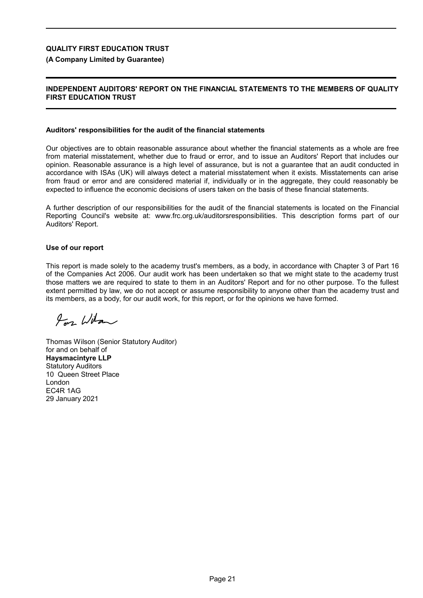## **(A Company Limited by Guarantee)**

## **INDEPENDENT AUDITORS' REPORT ON THE FINANCIAL STATEMENTS TO THE MEMBERS OF QUALITY FIRST EDUCATION TRUST**

#### **Auditors' responsibilities for the audit of the financial statements**

Our objectives are to obtain reasonable assurance about whether the financial statements as a whole are free from material misstatement, whether due to fraud or error, and to issue an Auditors' Report that includes our opinion. Reasonable assurance is a high level of assurance, but is not a guarantee that an audit conducted in accordance with ISAs (UK) will always detect a material misstatement when it exists. Misstatements can arise from fraud or error and are considered material if, individually or in the aggregate, they could reasonably be expected to influence the economic decisions of users taken on the basis of these financial statements.

A further description of our responsibilities for the audit of the financial statements is located on the Financial Reporting Council's website at: www.frc.org.uk/auditorsresponsibilities. This description forms part of our Auditors' Report.

### **Use of our report**

This report is made solely to the academy trust's members, as a body, in accordance with Chapter 3 of Part 16 of the Companies Act 2006. Our audit work has been undertaken so that we might state to the academy trust those matters we are required to state to them in an Auditors' Report and for no other purpose. To the fullest extent permitted by law, we do not accept or assume responsibility to anyone other than the academy trust and its members, as a body, for our audit work, for this report, or for the opinions we have formed.

 $\mu$  Witn

Thomas Wilson (Senior Statutory Auditor) for and on behalf of **Haysmacintyre LLP** Statutory Auditors 10 Queen Street Place London EC4R 1AG 29 January 2021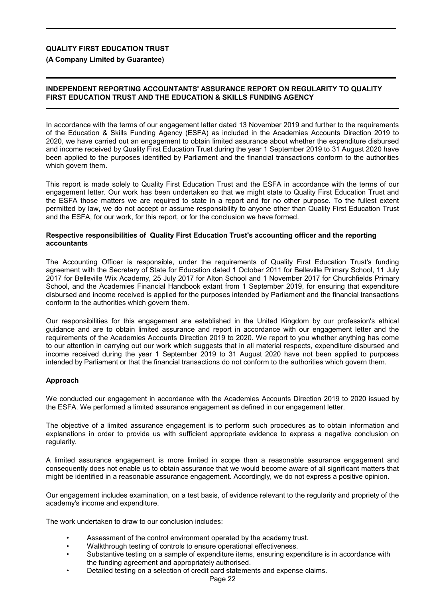**(A Company Limited by Guarantee)**

# **INDEPENDENT REPORTING ACCOUNTANTS' ASSURANCE REPORT ON REGULARITY TO QUALITY FIRST EDUCATION TRUST AND THE EDUCATION & SKILLS FUNDING AGENCY**

In accordance with the terms of our engagement letter dated 13 November 2019 and further to the requirements of the Education & Skills Funding Agency (ESFA) as included in the Academies Accounts Direction 2019 to 2020, we have carried out an engagement to obtain limited assurance about whether the expenditure disbursed and income received by Quality First Education Trust during the year 1 September 2019 to 31 August 2020 have been applied to the purposes identified by Parliament and the financial transactions conform to the authorities which govern them.

This report is made solely to Quality First Education Trust and the ESFA in accordance with the terms of our engagement letter. Our work has been undertaken so that we might state to Quality First Education Trust and the ESFA those matters we are required to state in a report and for no other purpose. To the fullest extent permitted by law, we do not accept or assume responsibility to anyone other than Quality First Education Trust and the ESFA, for our work, for this report, or for the conclusion we have formed.

### **Respective responsibilities of Quality First Education Trust's accounting officer and the reporting accountants**

The Accounting Officer is responsible, under the requirements of Quality First Education Trust's funding agreement with the Secretary of State for Education dated 1 October 2011 for Belleville Primary School, 11 July 2017 for Belleville Wix Academy, 25 July 2017 for Alton School and 1 November 2017 for Churchfields Primary School, and the Academies Financial Handbook extant from 1 September 2019, for ensuring that expenditure disbursed and income received is applied for the purposes intended by Parliament and the financial transactions conform to the authorities which govern them.

Our responsibilities for this engagement are established in the United Kingdom by our profession's ethical guidance and are to obtain limited assurance and report in accordance with our engagement letter and the requirements of the Academies Accounts Direction 2019 to 2020. We report to you whether anything has come to our attention in carrying out our work which suggests that in all material respects, expenditure disbursed and income received during the year 1 September 2019 to 31 August 2020 have not been applied to purposes intended by Parliament or that the financial transactions do not conform to the authorities which govern them.

## **Approach**

We conducted our engagement in accordance with the Academies Accounts Direction 2019 to 2020 issued by the ESFA. We performed a limited assurance engagement as defined in our engagement letter.

The objective of a limited assurance engagement is to perform such procedures as to obtain information and explanations in order to provide us with sufficient appropriate evidence to express a negative conclusion on regularity.

A limited assurance engagement is more limited in scope than a reasonable assurance engagement and consequently does not enable us to obtain assurance that we would become aware of all significant matters that might be identified in a reasonable assurance engagement. Accordingly, we do not express a positive opinion.

Our engagement includes examination, on a test basis, of evidence relevant to the regularity and propriety of the academy's income and expenditure.

The work undertaken to draw to our conclusion includes:

- Assessment of the control environment operated by the academy trust.
- Walkthrough testing of controls to ensure operational effectiveness.
- Substantive testing on a sample of expenditure items, ensuring expenditure is in accordance with the funding agreement and appropriately authorised.
	- Detailed testing on a selection of credit card statements and expense claims.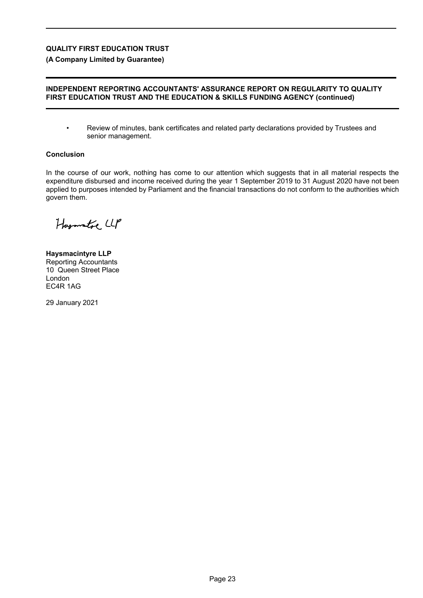**(A Company Limited by Guarantee)**

## **INDEPENDENT REPORTING ACCOUNTANTS' ASSURANCE REPORT ON REGULARITY TO QUALITY FIRST EDUCATION TRUST AND THE EDUCATION & SKILLS FUNDING AGENCY (continued)**

• Review of minutes, bank certificates and related party declarations provided by Trustees and senior management.

## **Conclusion**

In the course of our work, nothing has come to our attention which suggests that in all material respects the expenditure disbursed and income received during the year 1 September 2019 to 31 August 2020 have not been applied to purposes intended by Parliament and the financial transactions do not conform to the authorities which govern them.

Hagmatre LLP

**Haysmacintyre LLP** Reporting Accountants 10 Queen Street Place London EC4R 1AG

29 January 2021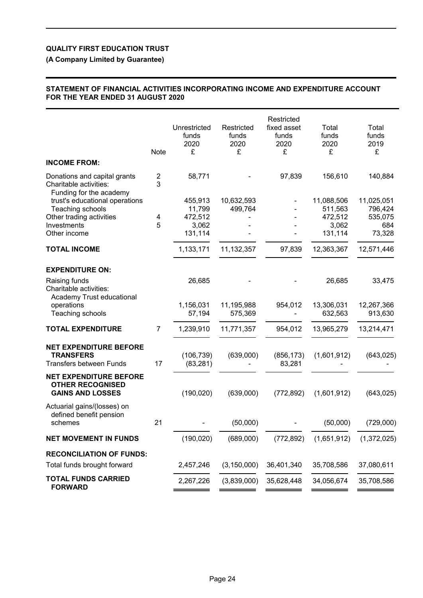# **(A Company Limited by Guarantee)**

## **STATEMENT OF FINANCIAL ACTIVITIES INCORPORATING INCOME AND EXPENDITURE ACCOUNT FOR THE YEAR ENDED 31 AUGUST 2020**

| <b>INCOME FROM:</b>                                                                 | Note           | Unrestricted<br>funds<br>2020<br>£ | Restricted<br>funds<br>2020<br>£ | Restricted<br>fixed asset<br>funds<br>2020<br>£ | Total<br>funds<br>2020<br>£ | Total<br>funds<br>2019<br>£ |
|-------------------------------------------------------------------------------------|----------------|------------------------------------|----------------------------------|-------------------------------------------------|-----------------------------|-----------------------------|
| Donations and capital grants                                                        | 2              | 58,771                             |                                  | 97,839                                          | 156,610                     | 140,884                     |
| Charitable activities:<br>Funding for the academy<br>trust's educational operations | 3              | 455,913                            | 10,632,593                       |                                                 | 11,088,506                  | 11,025,051                  |
| Teaching schools                                                                    |                | 11,799                             | 499,764                          |                                                 | 511,563                     | 796,424                     |
| Other trading activities<br>Investments                                             | 4<br>5         | 472,512<br>3,062                   |                                  |                                                 | 472,512<br>3,062            | 535,075<br>684              |
| Other income                                                                        |                | 131,114                            |                                  |                                                 | 131,114                     | 73,328                      |
| <b>TOTAL INCOME</b>                                                                 |                | 1,133,171                          | 11,132,357                       | 97,839                                          | 12,363,367                  | 12,571,446                  |
|                                                                                     |                |                                    |                                  |                                                 |                             |                             |
| <b>EXPENDITURE ON:</b>                                                              |                |                                    |                                  |                                                 |                             |                             |
| Raising funds<br>Charitable activities:<br>Academy Trust educational                |                | 26,685                             |                                  |                                                 | 26,685                      | 33,475                      |
| operations<br>Teaching schools                                                      |                | 1,156,031<br>57,194                | 11,195,988<br>575,369            | 954,012                                         | 13,306,031<br>632,563       | 12,267,366<br>913,630       |
| <b>TOTAL EXPENDITURE</b>                                                            | $\overline{7}$ | 1,239,910                          | 11,771,357                       | 954,012                                         | 13,965,279                  | 13,214,471                  |
| <b>NET EXPENDITURE BEFORE</b><br><b>TRANSFERS</b><br>Transfers between Funds        | 17             | (106, 739)<br>(83, 281)            | (639,000)                        | (856, 173)<br>83,281                            | (1,601,912)                 | (643, 025)                  |
| <b>NET EXPENDITURE BEFORE</b><br><b>OTHER RECOGNISED</b><br><b>GAINS AND LOSSES</b> |                | (190, 020)                         | (639,000)                        | (772, 892)                                      | (1,601,912)                 | (643, 025)                  |
| Actuarial gains/(losses) on<br>defined benefit pension<br>schemes                   | 21             |                                    | (50,000)                         |                                                 | (50,000)                    | (729,000)                   |
| <b>NET MOVEMENT IN FUNDS</b>                                                        |                | (190, 020)                         | (689,000)                        | (772, 892)                                      | (1,651,912)                 | (1,372,025)                 |
| <b>RECONCILIATION OF FUNDS:</b><br>Total funds brought forward                      |                | 2,457,246                          | (3, 150, 000)                    | 36,401,340                                      | 35,708,586                  | 37,080,611                  |
| <b>TOTAL FUNDS CARRIED</b>                                                          |                |                                    |                                  |                                                 |                             |                             |
| <b>FORWARD</b>                                                                      |                | 2,267,226                          | (3,839,000)                      | 35,628,448                                      | 34,056,674                  | 35,708,586                  |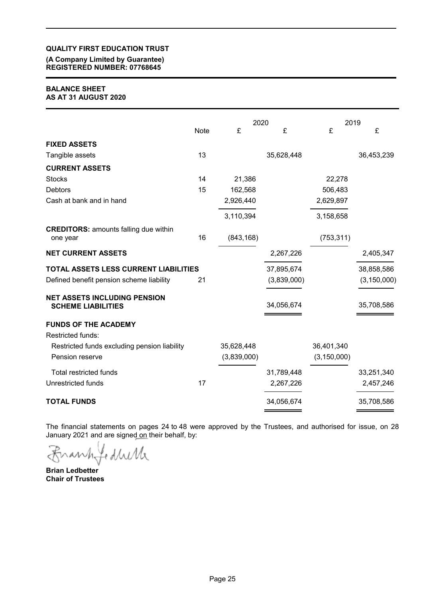**(A Company Limited by Guarantee) REGISTERED NUMBER: 07768645**

### **BALANCE SHEET AS AT 31 AUGUST 2020**

|                                                                  |             | 2020        |             | 2019          |               |
|------------------------------------------------------------------|-------------|-------------|-------------|---------------|---------------|
|                                                                  | <b>Note</b> | £           | £           | £             | £             |
| <b>FIXED ASSETS</b>                                              |             |             |             |               |               |
| Tangible assets                                                  | 13          |             | 35,628,448  |               | 36,453,239    |
| <b>CURRENT ASSETS</b>                                            |             |             |             |               |               |
| <b>Stocks</b>                                                    | 14          | 21,386      |             | 22,278        |               |
| <b>Debtors</b>                                                   | 15          | 162,568     |             | 506,483       |               |
| Cash at bank and in hand                                         |             | 2,926,440   |             | 2,629,897     |               |
|                                                                  |             | 3,110,394   |             | 3,158,658     |               |
| <b>CREDITORS: amounts falling due within</b><br>one year         | 16          | (843, 168)  |             | (753, 311)    |               |
| <b>NET CURRENT ASSETS</b>                                        |             |             | 2,267,226   |               | 2,405,347     |
| <b>TOTAL ASSETS LESS CURRENT LIABILITIES</b>                     |             |             | 37,895,674  |               | 38,858,586    |
| Defined benefit pension scheme liability                         | 21          |             | (3,839,000) |               | (3, 150, 000) |
| <b>NET ASSETS INCLUDING PENSION</b><br><b>SCHEME LIABILITIES</b> |             |             | 34,056,674  |               | 35,708,586    |
| <b>FUNDS OF THE ACADEMY</b>                                      |             |             |             |               |               |
| Restricted funds:                                                |             |             |             |               |               |
| Restricted funds excluding pension liability                     |             | 35,628,448  |             | 36,401,340    |               |
| Pension reserve                                                  |             | (3,839,000) |             | (3, 150, 000) |               |
| <b>Total restricted funds</b>                                    |             |             | 31,789,448  |               | 33,251,340    |
| <b>Unrestricted funds</b>                                        | 17          |             | 2,267,226   |               | 2,457,246     |
| <b>TOTAL FUNDS</b>                                               |             |             | 34,056,674  |               | 35,708,586    |

The financial statements on pages 24 to 48 were approved by the Trustees, and authorised for issue, on 28 January 2021 and are signed on their behalf, by:

fedhirla  $\mathcal{W}$  $\mathcal{F}$ 

**Brian Ledbetter Chair of Trustees**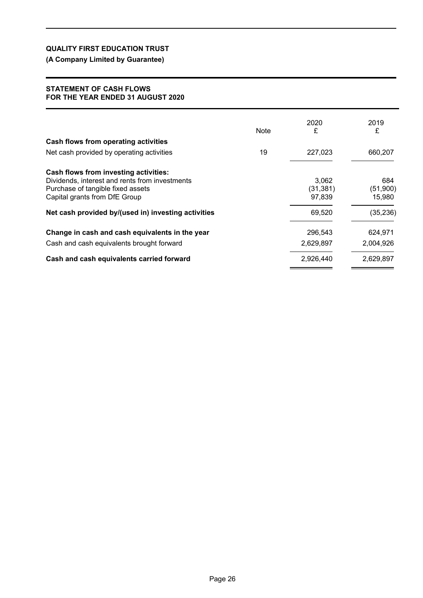# **(A Company Limited by Guarantee)**

## **STATEMENT OF CASH FLOWS FOR THE YEAR ENDED 31 AUGUST 2020**

|                                                                    | <b>Note</b> | 2020<br>£           | 2019<br>£          |
|--------------------------------------------------------------------|-------------|---------------------|--------------------|
| Cash flows from operating activities                               |             |                     |                    |
| Net cash provided by operating activities                          | 19          | 227,023             | 660,207            |
| Cash flows from investing activities:                              |             |                     |                    |
| Dividends, interest and rents from investments                     |             | 3.062               | 684                |
| Purchase of tangible fixed assets<br>Capital grants from DfE Group |             | (31, 381)<br>97,839 | (51,900)<br>15,980 |
| Net cash provided by/(used in) investing activities                |             | 69,520              | (35, 236)          |
| Change in cash and cash equivalents in the year                    |             | 296.543             | 624,971            |
| Cash and cash equivalents brought forward                          |             | 2,629,897           | 2,004,926          |
| Cash and cash equivalents carried forward                          |             | 2,926,440           | 2,629,897          |
|                                                                    |             |                     |                    |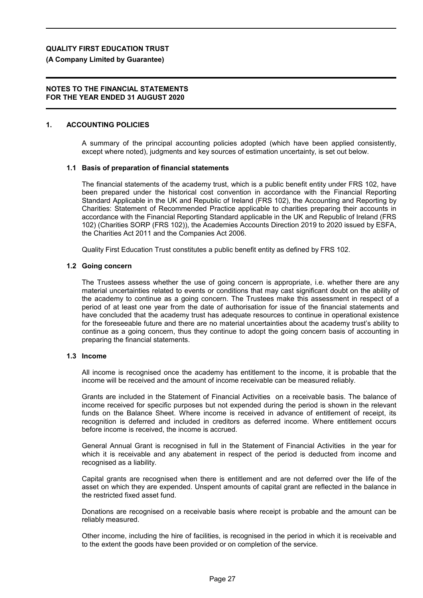## **(A Company Limited by Guarantee)**

### **NOTES TO THE FINANCIAL STATEMENTS FOR THE YEAR ENDED 31 AUGUST 2020**

### **1. ACCOUNTING POLICIES**

A summary of the principal accounting policies adopted (which have been applied consistently, except where noted), judgments and key sources of estimation uncertainty, is set out below.

### **1.1 Basis of preparation of financial statements**

The financial statements of the academy trust, which is a public benefit entity under FRS 102, have been prepared under the historical cost convention in accordance with the Financial Reporting Standard Applicable in the UK and Republic of Ireland (FRS 102), the Accounting and Reporting by Charities: Statement of Recommended Practice applicable to charities preparing their accounts in accordance with the Financial Reporting Standard applicable in the UK and Republic of Ireland (FRS 102) (Charities SORP (FRS 102)), the Academies Accounts Direction 2019 to 2020 issued by ESFA, the Charities Act 2011 and the Companies Act 2006.

Quality First Education Trust constitutes a public benefit entity as defined by FRS 102.

### **1.2 Going concern**

The Trustees assess whether the use of going concern is appropriate, i.e. whether there are any material uncertainties related to events or conditions that may cast significant doubt on the ability of the academy to continue as a going concern. The Trustees make this assessment in respect of a period of at least one year from the date of authorisation for issue of the financial statements and have concluded that the academy trust has adequate resources to continue in operational existence for the foreseeable future and there are no material uncertainties about the academy trust's ability to continue as a going concern, thus they continue to adopt the going concern basis of accounting in preparing the financial statements.

### **1.3 Income**

All income is recognised once the academy has entitlement to the income, it is probable that the income will be received and the amount of income receivable can be measured reliably.

Grants are included in the Statement of Financial Activities on a receivable basis. The balance of income received for specific purposes but not expended during the period is shown in the relevant funds on the Balance Sheet. Where income is received in advance of entitlement of receipt, its recognition is deferred and included in creditors as deferred income. Where entitlement occurs before income is received, the income is accrued.

General Annual Grant is recognised in full in the Statement of Financial Activities in the year for which it is receivable and any abatement in respect of the period is deducted from income and recognised as a liability.

Capital grants are recognised when there is entitlement and are not deferred over the life of the asset on which they are expended. Unspent amounts of capital grant are reflected in the balance in the restricted fixed asset fund.

Donations are recognised on a receivable basis where receipt is probable and the amount can be reliably measured.

Other income, including the hire of facilities, is recognised in the period in which it is receivable and to the extent the goods have been provided or on completion of the service.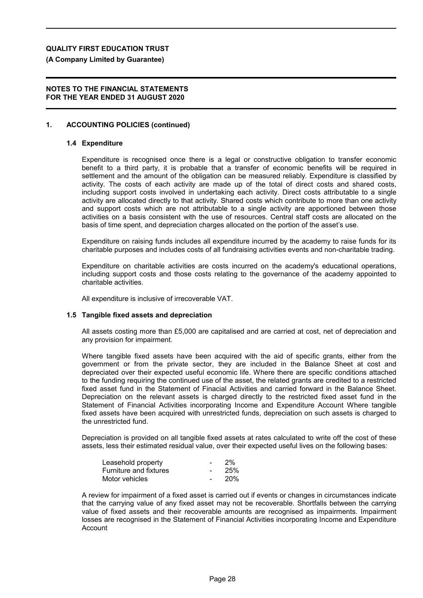**(A Company Limited by Guarantee)**

## **NOTES TO THE FINANCIAL STATEMENTS FOR THE YEAR ENDED 31 AUGUST 2020**

### **1. ACCOUNTING POLICIES (continued)**

#### **1.4 Expenditure**

Expenditure is recognised once there is a legal or constructive obligation to transfer economic benefit to a third party, it is probable that a transfer of economic benefits will be required in settlement and the amount of the obligation can be measured reliably. Expenditure is classified by activity. The costs of each activity are made up of the total of direct costs and shared costs, including support costs involved in undertaking each activity. Direct costs attributable to a single activity are allocated directly to that activity. Shared costs which contribute to more than one activity and support costs which are not attributable to a single activity are apportioned between those activities on a basis consistent with the use of resources. Central staff costs are allocated on the basis of time spent, and depreciation charges allocated on the portion of the asset's use.

Expenditure on raising funds includes all expenditure incurred by the academy to raise funds for its charitable purposes and includes costs of all fundraising activities events and non-charitable trading.

Expenditure on charitable activities are costs incurred on the academy's educational operations, including support costs and those costs relating to the governance of the academy appointed to charitable activities.

All expenditure is inclusive of irrecoverable VAT.

### **1.5 Tangible fixed assets and depreciation**

All assets costing more than £5,000 are capitalised and are carried at cost, net of depreciation and any provision for impairment.

Where tangible fixed assets have been acquired with the aid of specific grants, either from the government or from the private sector, they are included in the Balance Sheet at cost and depreciated over their expected useful economic life. Where there are specific conditions attached to the funding requiring the continued use of the asset, the related grants are credited to a restricted fixed asset fund in the Statement of Finacial Activities and carried forward in the Balance Sheet. Depreciation on the relevant assets is charged directly to the restricted fixed asset fund in the Statement of Financial Activities incorporating Income and Expenditure Account Where tangible fixed assets have been acquired with unrestricted funds, depreciation on such assets is charged to the unrestricted fund.

Depreciation is provided on all tangible fixed assets at rates calculated to write off the cost of these assets, less their estimated residual value, over their expected useful lives on the following bases:

| Leasehold property            | $\overline{\phantom{0}}$ | 2%         |
|-------------------------------|--------------------------|------------|
| <b>Furniture and fixtures</b> | $\sim$                   | 25%        |
| Motor vehicles                |                          | <b>20%</b> |

A review for impairment of a fixed asset is carried out if events or changes in circumstances indicate that the carrying value of any fixed asset may not be recoverable. Shortfalls between the carrying value of fixed assets and their recoverable amounts are recognised as impairments. Impairment losses are recognised in the Statement of Financial Activities incorporating Income and Expenditure Account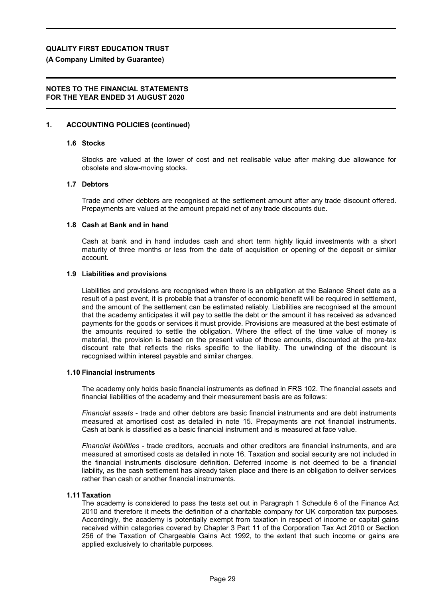## **(A Company Limited by Guarantee)**

## **NOTES TO THE FINANCIAL STATEMENTS FOR THE YEAR ENDED 31 AUGUST 2020**

## **1. ACCOUNTING POLICIES (continued)**

#### **1.6 Stocks**

Stocks are valued at the lower of cost and net realisable value after making due allowance for obsolete and slow-moving stocks.

### **1.7 Debtors**

Trade and other debtors are recognised at the settlement amount after any trade discount offered. Prepayments are valued at the amount prepaid net of any trade discounts due.

### **1.8 Cash at Bank and in hand**

Cash at bank and in hand includes cash and short term highly liquid investments with a short maturity of three months or less from the date of acquisition or opening of the deposit or similar account.

### **1.9 Liabilities and provisions**

Liabilities and provisions are recognised when there is an obligation at the Balance Sheet date as a result of a past event, it is probable that a transfer of economic benefit will be required in settlement, and the amount of the settlement can be estimated reliably. Liabilities are recognised at the amount that the academy anticipates it will pay to settle the debt or the amount it has received as advanced payments for the goods or services it must provide. Provisions are measured at the best estimate of the amounts required to settle the obligation. Where the effect of the time value of money is material, the provision is based on the present value of those amounts, discounted at the pre-tax discount rate that reflects the risks specific to the liability. The unwinding of the discount is recognised within interest payable and similar charges.

### **1.10 Financial instruments**

The academy only holds basic financial instruments as defined in FRS 102. The financial assets and financial liabilities of the academy and their measurement basis are as follows:

*Financial assets* - trade and other debtors are basic financial instruments and are debt instruments measured at amortised cost as detailed in note 15. Prepayments are not financial instruments. Cash at bank is classified as a basic financial instrument and is measured at face value.

*Financial liabilities* - trade creditors, accruals and other creditors are financial instruments, and are measured at amortised costs as detailed in note 16. Taxation and social security are not included in the financial instruments disclosure definition. Deferred income is not deemed to be a financial liability, as the cash settlement has already taken place and there is an obligation to deliver services rather than cash or another financial instruments.

### **1.11 Taxation**

The academy is considered to pass the tests set out in Paragraph 1 Schedule 6 of the Finance Act 2010 and therefore it meets the definition of a charitable company for UK corporation tax purposes. Accordingly, the academy is potentially exempt from taxation in respect of income or capital gains received within categories covered by Chapter 3 Part 11 of the Corporation Tax Act 2010 or Section 256 of the Taxation of Chargeable Gains Act 1992, to the extent that such income or gains are applied exclusively to charitable purposes.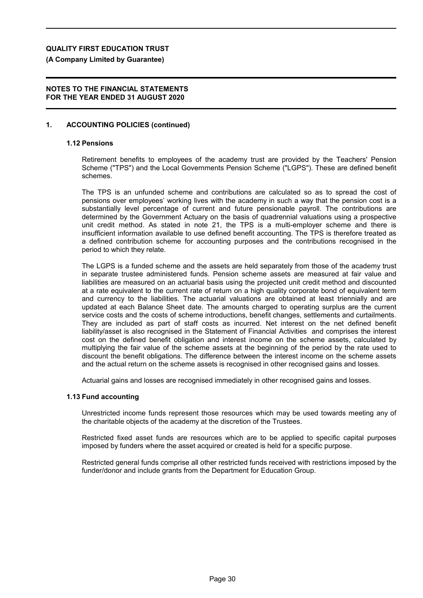**(A Company Limited by Guarantee)**

## **NOTES TO THE FINANCIAL STATEMENTS FOR THE YEAR ENDED 31 AUGUST 2020**

### **1. ACCOUNTING POLICIES (continued)**

#### **1.12 Pensions**

Retirement benefits to employees of the academy trust are provided by the Teachers' Pension Scheme ("TPS") and the Local Governments Pension Scheme ("LGPS"). These are defined benefit schemes.

The TPS is an unfunded scheme and contributions are calculated so as to spread the cost of pensions over employees' working lives with the academy in such a way that the pension cost is a substantially level percentage of current and future pensionable payroll. The contributions are determined by the Government Actuary on the basis of quadrennial valuations using a prospective unit credit method. As stated in note 21, the TPS is a multi-employer scheme and there is insufficient information available to use defined benefit accounting. The TPS is therefore treated as a defined contribution scheme for accounting purposes and the contributions recognised in the period to which they relate.

The LGPS is a funded scheme and the assets are held separately from those of the academy trust in separate trustee administered funds. Pension scheme assets are measured at fair value and liabilities are measured on an actuarial basis using the projected unit credit method and discounted at a rate equivalent to the current rate of return on a high quality corporate bond of equivalent term and currency to the liabilities. The actuarial valuations are obtained at least triennially and are updated at each Balance Sheet date. The amounts charged to operating surplus are the current service costs and the costs of scheme introductions, benefit changes, settlements and curtailments. They are included as part of staff costs as incurred. Net interest on the net defined benefit liability/asset is also recognised in the Statement of Financial Activities and comprises the interest cost on the defined benefit obligation and interest income on the scheme assets, calculated by multiplying the fair value of the scheme assets at the beginning of the period by the rate used to discount the benefit obligations. The difference between the interest income on the scheme assets and the actual return on the scheme assets is recognised in other recognised gains and losses.

Actuarial gains and losses are recognised immediately in other recognised gains and losses.

### **1.13 Fund accounting**

Unrestricted income funds represent those resources which may be used towards meeting any of the charitable objects of the academy at the discretion of the Trustees.

Restricted fixed asset funds are resources which are to be applied to specific capital purposes imposed by funders where the asset acquired or created is held for a specific purpose.

Restricted general funds comprise all other restricted funds received with restrictions imposed by the funder/donor and include grants from the Department for Education Group.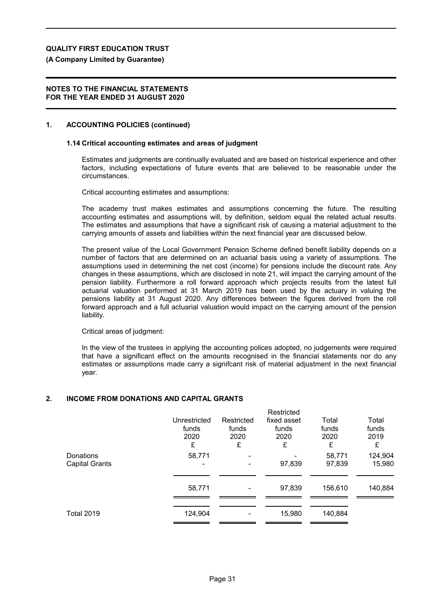**(A Company Limited by Guarantee)**

## **NOTES TO THE FINANCIAL STATEMENTS FOR THE YEAR ENDED 31 AUGUST 2020**

## **1. ACCOUNTING POLICIES (continued)**

### **1.14 Critical accounting estimates and areas of judgment**

Estimates and judgments are continually evaluated and are based on historical experience and other factors, including expectations of future events that are believed to be reasonable under the circumstances.

Critical accounting estimates and assumptions:

The academy trust makes estimates and assumptions concerning the future. The resulting accounting estimates and assumptions will, by definition, seldom equal the related actual results. The estimates and assumptions that have a significant risk of causing a material adjustment to the carrying amounts of assets and liabilities within the next financial year are discussed below.

The present value of the Local Government Pension Scheme defined benefit liability depends on a number of factors that are determined on an actuarial basis using a variety of assumptions. The assumptions used in determining the net cost (income) for pensions include the discount rate. Any changes in these assumptions, which are disclosed in note 21, will impact the carrying amount of the pension liability. Furthermore a roll forward approach which projects results from the latest full actuarial valuation performed at 31 March 2019 has been used by the actuary in valuing the pensions liability at 31 August 2020. Any differences between the figures derived from the roll forward approach and a full actuarial valuation would impact on the carrying amount of the pension liability.

Critical areas of judgment:

In the view of the trustees in applying the accounting polices adopted, no judgements were required that have a significant effect on the amounts recognised in the financial statements nor do any estimates or assumptions made carry a signifcant risk of material adjustment in the next financial year.

Restricted

## **2. INCOME FROM DONATIONS AND CAPITAL GRANTS**

|                       |              |            | Restricted  |         |         |
|-----------------------|--------------|------------|-------------|---------|---------|
|                       | Unrestricted | Restricted | fixed asset | Total   | Total   |
|                       | funds        | funds      | funds       | funds   | funds   |
|                       | 2020         | 2020       | 2020        | 2020    | 2019    |
|                       | £            | £          | £           | £       | £       |
| Donations             | 58,771       |            |             | 58,771  | 124,904 |
| <b>Capital Grants</b> |              |            | 97,839      | 97,839  | 15,980  |
|                       |              |            |             |         |         |
|                       | 58,771       | ٠          | 97,839      | 156,610 | 140,884 |
|                       |              |            |             |         |         |
| <b>Total 2019</b>     | 124,904      |            | 15,980      | 140,884 |         |
|                       |              |            |             |         |         |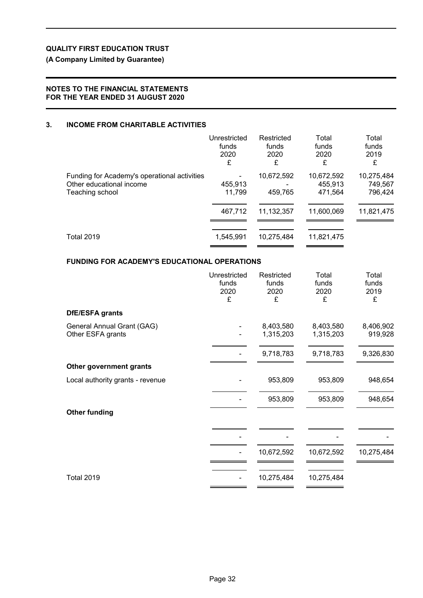# **(A Company Limited by Guarantee)**

# **NOTES TO THE FINANCIAL STATEMENTS FOR THE YEAR ENDED 31 AUGUST 2020**

# **3. INCOME FROM CHARITABLE ACTIVITIES**

|                                                                                             | Unrestricted<br>funds<br>2020<br>£ | Restricted<br>funds<br>2020<br>£ | Total<br>funds<br>2020<br>£      | Total<br>funds<br>2019<br>£      |
|---------------------------------------------------------------------------------------------|------------------------------------|----------------------------------|----------------------------------|----------------------------------|
| Funding for Academy's operational activities<br>Other educational income<br>Teaching school | 455,913<br>11,799                  | 10,672,592<br>459,765            | 10,672,592<br>455,913<br>471,564 | 10,275,484<br>749,567<br>796,424 |
|                                                                                             | 467,712                            | 11,132,357                       | 11,600,069                       | 11,821,475                       |
| <b>Total 2019</b>                                                                           | 1,545,991                          | 10,275,484                       | 11,821,475                       |                                  |

# **FUNDING FOR ACADEMY'S EDUCATIONAL OPERATIONS**

|                                                 | Unrestricted<br>funds<br>2020<br>£ | Restricted<br>funds<br>2020<br>£ | Total<br>funds<br>2020<br>£ | Total<br>funds<br>2019<br>£ |
|-------------------------------------------------|------------------------------------|----------------------------------|-----------------------------|-----------------------------|
| <b>DfE/ESFA grants</b>                          |                                    |                                  |                             |                             |
| General Annual Grant (GAG)<br>Other ESFA grants |                                    | 8,403,580<br>1,315,203           | 8,403,580<br>1,315,203      | 8,406,902<br>919,928        |
|                                                 |                                    | 9,718,783                        | 9,718,783                   | 9,326,830                   |
| Other government grants                         |                                    |                                  |                             |                             |
| Local authority grants - revenue                |                                    | 953,809                          | 953,809                     | 948,654                     |
|                                                 |                                    | 953,809                          | 953,809                     | 948,654                     |
| <b>Other funding</b>                            |                                    |                                  |                             |                             |
|                                                 |                                    |                                  |                             |                             |
|                                                 |                                    | 10,672,592                       | 10,672,592                  | 10,275,484                  |
| <b>Total 2019</b>                               |                                    | 10,275,484                       | 10,275,484                  |                             |
|                                                 |                                    |                                  |                             |                             |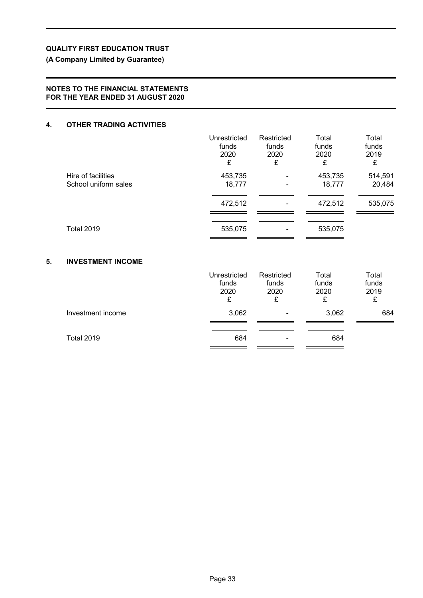# **(A Company Limited by Guarantee)**

# **NOTES TO THE FINANCIAL STATEMENTS FOR THE YEAR ENDED 31 AUGUST 2020**

## **4. OTHER TRADING ACTIVITIES**

|                      | Unrestricted | Restricted | Total   | Total   |
|----------------------|--------------|------------|---------|---------|
|                      | funds        | funds      | funds   | funds   |
|                      | 2020         | 2020       | 2020    | 2019    |
|                      | £            | £          | £       | £       |
| Hire of facilities   | 453,735      | ۰          | 453,735 | 514,591 |
| School uniform sales | 18,777       | ۰          | 18,777  | 20,484  |
|                      | 472,512      | ۰          | 472,512 | 535,075 |
| <b>Total 2019</b>    | 535,075      |            | 535,075 |         |

# **5. INVESTMENT INCOME**

|                   | Unrestricted<br>funds<br>2020<br>£ | Restricted<br>funds<br>2020<br>£ | Total<br>funds<br>2020<br>£ | Total<br>funds<br>2019<br>£ |
|-------------------|------------------------------------|----------------------------------|-----------------------------|-----------------------------|
| Investment income | 3,062                              |                                  | 3,062                       | 684                         |
| <b>Total 2019</b> | 684                                |                                  | 684                         |                             |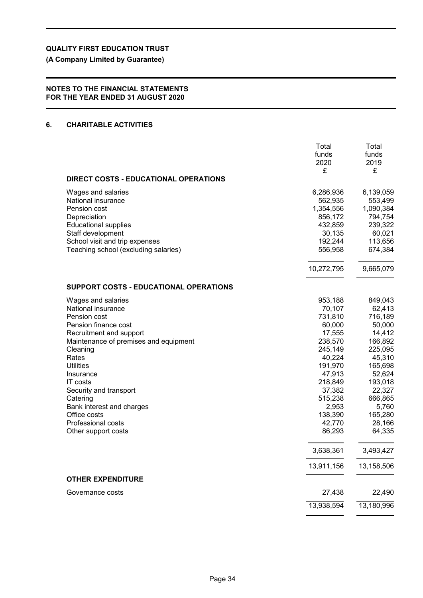**(A Company Limited by Guarantee)**

# **NOTES TO THE FINANCIAL STATEMENTS FOR THE YEAR ENDED 31 AUGUST 2020**

## **6. CHARITABLE ACTIVITIES**

|                                                                                                                                                                                                                                                                                                                                                               | Total<br>funds<br>2020<br>£                                                                                                                                                   | Total<br>funds<br>2019<br>£                                                                                                                                                   |
|---------------------------------------------------------------------------------------------------------------------------------------------------------------------------------------------------------------------------------------------------------------------------------------------------------------------------------------------------------------|-------------------------------------------------------------------------------------------------------------------------------------------------------------------------------|-------------------------------------------------------------------------------------------------------------------------------------------------------------------------------|
| <b>DIRECT COSTS - EDUCATIONAL OPERATIONS</b>                                                                                                                                                                                                                                                                                                                  |                                                                                                                                                                               |                                                                                                                                                                               |
| Wages and salaries<br>National insurance<br>Pension cost<br>Depreciation<br><b>Educational supplies</b><br>Staff development<br>School visit and trip expenses<br>Teaching school (excluding salaries)                                                                                                                                                        | 6,286,936<br>562,935<br>1,354,556<br>856,172<br>432,859<br>30,135<br>192,244<br>556,958<br>10,272,795                                                                         | 6,139,059<br>553,499<br>1,090,384<br>794,754<br>239,322<br>60,021<br>113,656<br>674,384<br>9,665,079                                                                          |
| <b>SUPPORT COSTS - EDUCATIONAL OPERATIONS</b>                                                                                                                                                                                                                                                                                                                 |                                                                                                                                                                               |                                                                                                                                                                               |
| Wages and salaries<br>National insurance<br>Pension cost<br>Pension finance cost<br>Recruitment and support<br>Maintenance of premises and equipment<br>Cleaning<br>Rates<br><b>Utilities</b><br>Insurance<br><b>IT</b> costs<br>Security and transport<br>Catering<br>Bank interest and charges<br>Office costs<br>Professional costs<br>Other support costs | 953,188<br>70,107<br>731,810<br>60,000<br>17,555<br>238,570<br>245,149<br>40,224<br>191,970<br>47,913<br>218,849<br>37,382<br>515,238<br>2,953<br>138,390<br>42,770<br>86,293 | 849,043<br>62,413<br>716,189<br>50,000<br>14,412<br>166,892<br>225,095<br>45,310<br>165,698<br>52,624<br>193,018<br>22,327<br>666,865<br>5,760<br>165,280<br>28,166<br>64,335 |
|                                                                                                                                                                                                                                                                                                                                                               | 3,638,361                                                                                                                                                                     | 3,493,427                                                                                                                                                                     |
| <b>OTHER EXPENDITURE</b>                                                                                                                                                                                                                                                                                                                                      | 13,911,156                                                                                                                                                                    | 13,158,506                                                                                                                                                                    |
| Governance costs                                                                                                                                                                                                                                                                                                                                              | 27,438                                                                                                                                                                        | 22,490                                                                                                                                                                        |
|                                                                                                                                                                                                                                                                                                                                                               | 13,938,594                                                                                                                                                                    | 13,180,996                                                                                                                                                                    |
|                                                                                                                                                                                                                                                                                                                                                               |                                                                                                                                                                               |                                                                                                                                                                               |

 $\overline{a}$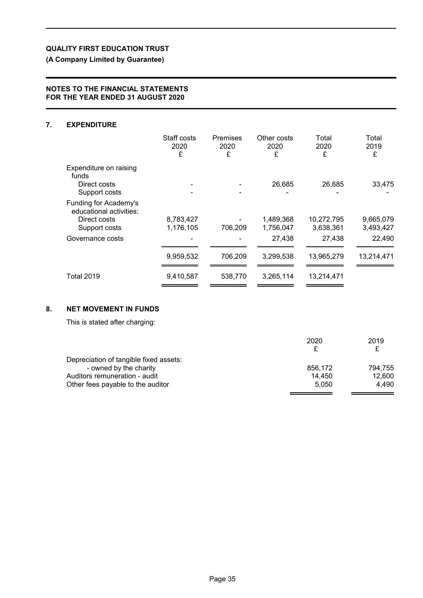**(A Company Limited by Guarantee)**

# **NOTES TO THE FINANCIAL STATEMENTS FOR THE YEAR ENDED 31 AUGUST 2020**

# **7. EXPENDITURE**

|                                                  | Staff costs<br>2020<br>£ | Premises<br>2020<br>£ | Other costs<br>2020<br>£ | Total<br>2020<br>£      | Total<br>2019<br>£     |
|--------------------------------------------------|--------------------------|-----------------------|--------------------------|-------------------------|------------------------|
| Expenditure on raising<br>funds                  |                          |                       |                          |                         |                        |
| Direct costs<br>Support costs                    |                          |                       | 26,685                   | 26,685                  | 33,475                 |
| Funding for Academy's<br>educational activities: |                          |                       |                          |                         |                        |
| Direct costs<br>Support costs                    | 8,783,427<br>1,176,105   | 706,209               | 1,489,368<br>1,756,047   | 10,272,795<br>3,638,361 | 9,665,079<br>3,493,427 |
| Governance costs                                 |                          |                       | 27,438                   | 27,438                  | 22,490                 |
|                                                  | 9,959,532                | 706,209               | 3,299,538                | 13,965,279              | 13,214,471             |
| <b>Total 2019</b>                                | 9,410,587                | 538,770               | 3,265,114                | 13,214,471              |                        |

# **8. NET MOVEMENT IN FUNDS**

This is stated after charging:

| 2020    | 2019    |
|---------|---------|
|         |         |
|         |         |
| 856.172 | 794.755 |
| 14.450  | 12.600  |
| 5.050   | 4.490   |
|         |         |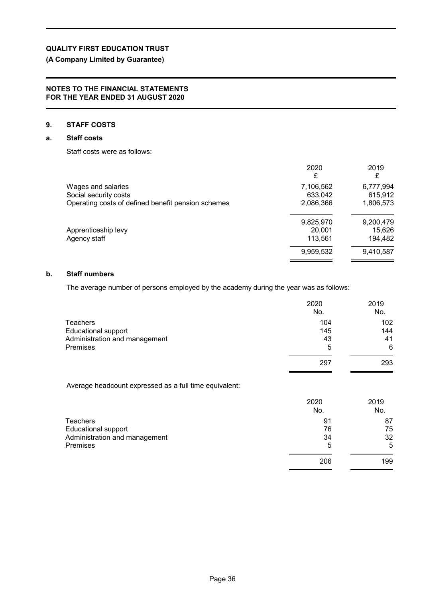# **(A Company Limited by Guarantee)**

### **NOTES TO THE FINANCIAL STATEMENTS FOR THE YEAR ENDED 31 AUGUST 2020**

# **9. STAFF COSTS**

## **a. Staff costs**

Staff costs were as follows:

|                                                    | 2020<br>£ | 2019<br>£ |
|----------------------------------------------------|-----------|-----------|
| Wages and salaries                                 | 7,106,562 | 6,777,994 |
| Social security costs                              | 633,042   | 615,912   |
| Operating costs of defined benefit pension schemes | 2,086,366 | 1,806,573 |
|                                                    | 9,825,970 | 9,200,479 |
| Apprenticeship levy                                | 20,001    | 15,626    |
| Agency staff                                       | 113,561   | 194,482   |
|                                                    | 9,959,532 | 9,410,587 |

## **b. Staff numbers**

The average number of persons employed by the academy during the year was as follows:

|                               | 2020<br>No. | 2019<br>No. |
|-------------------------------|-------------|-------------|
| <b>Teachers</b>               | 104         | 102         |
| <b>Educational support</b>    | 145         | 144         |
| Administration and management | 43          | 41          |
| Premises                      | 5           | 6           |
|                               | 297         | 293         |

Average headcount expressed as a full time equivalent:

|                               | 2020<br>No. | 2019<br>No. |
|-------------------------------|-------------|-------------|
| <b>Teachers</b>               | 91          | 87          |
| <b>Educational support</b>    | 76          | 75          |
| Administration and management | 34          | 32          |
| <b>Premises</b>               | 5           | 5           |
|                               | 206         | 199         |
|                               |             |             |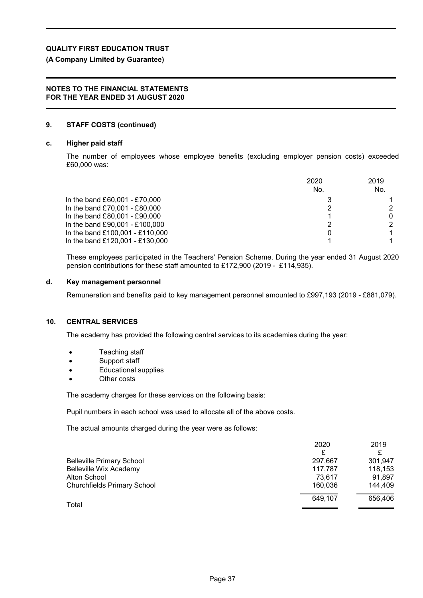# **(A Company Limited by Guarantee)**

### **NOTES TO THE FINANCIAL STATEMENTS FOR THE YEAR ENDED 31 AUGUST 2020**

## **9. STAFF COSTS (continued)**

### **c. Higher paid staff**

The number of employees whose employee benefits (excluding employer pension costs) exceeded £60,000 was:

|                                 | 2020<br>No. | 2019<br>No. |
|---------------------------------|-------------|-------------|
| In the band £60,001 - £70,000   |             |             |
| In the band £70,001 - £80,000   |             |             |
| In the band £80,001 - £90,000   |             |             |
| In the band £90,001 - £100,000  |             |             |
| In the band £100,001 - £110,000 |             |             |
| In the band £120,001 - £130,000 |             |             |

These employees participated in the Teachers' Pension Scheme. During the year ended 31 August 2020 pension contributions for these staff amounted to £172,900 (2019 - £114,935).

### **d. Key management personnel**

Remuneration and benefits paid to key management personnel amounted to £997,193 (2019 - £881,079).

### **10. CENTRAL SERVICES**

The academy has provided the following central services to its academies during the year:

- Teaching staff
- Support staff
- Educational supplies
- Other costs

The academy charges for these services on the following basis:

Pupil numbers in each school was used to allocate all of the above costs.

The actual amounts charged during the year were as follows:

|                                    | 2020<br>£ | 2019    |
|------------------------------------|-----------|---------|
| <b>Belleville Primary School</b>   | 297,667   | 301,947 |
| <b>Belleville Wix Academy</b>      | 117,787   | 118,153 |
| Alton School                       | 73.617    | 91.897  |
| <b>Churchfields Primary School</b> | 160.036   | 144.409 |
| Total                              | 649.107   | 656,406 |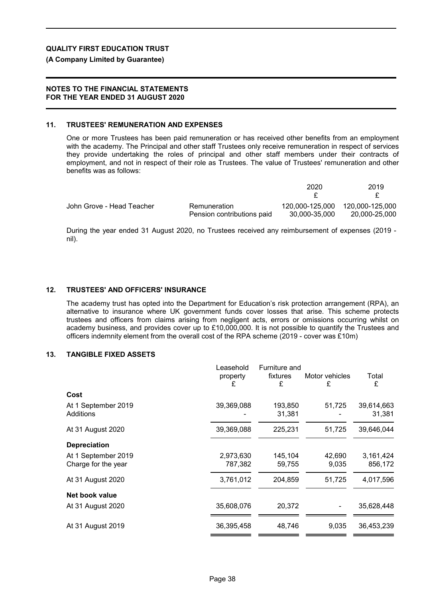### **(A Company Limited by Guarantee)**

### **NOTES TO THE FINANCIAL STATEMENTS FOR THE YEAR ENDED 31 AUGUST 2020**

#### **11. TRUSTEES' REMUNERATION AND EXPENSES**

One or more Trustees has been paid remuneration or has received other benefits from an employment with the academy. The Principal and other staff Trustees only receive remuneration in respect of services they provide undertaking the roles of principal and other staff members under their contracts of employment, and not in respect of their role as Trustees. The value of Trustees' remuneration and other benefits was as follows:

|                           |                            | 2020            | 2019            |
|---------------------------|----------------------------|-----------------|-----------------|
|                           |                            |                 |                 |
| John Grove - Head Teacher | Remuneration               | 120.000-125.000 | 120.000-125.000 |
|                           | Pension contributions paid | 30,000-35,000   | 20.000-25.000   |

During the year ended 31 August 2020, no Trustees received any reimbursement of expenses (2019 nil).

## **12. TRUSTEES' AND OFFICERS' INSURANCE**

The academy trust has opted into the Department for Education's risk protection arrangement (RPA), an alternative to insurance where UK government funds cover losses that arise. This scheme protects trustees and officers from claims arising from negligent acts, errors or omissions occurring whilst on academy business, and provides cover up to £10,000,000. It is not possible to quantify the Trustees and officers indemnity element from the overall cost of the RPA scheme (2019 - cover was £10m)

### **13. TANGIBLE FIXED ASSETS**

|                                            | Leasehold<br>property<br>£ | Furniture and<br>fixtures<br>£ | Motor vehicles<br>£ | Total<br>£           |
|--------------------------------------------|----------------------------|--------------------------------|---------------------|----------------------|
| Cost                                       |                            |                                |                     |                      |
| At 1 September 2019<br>Additions           | 39,369,088                 | 193,850<br>31,381              | 51,725              | 39,614,663<br>31,381 |
| At 31 August 2020                          | 39,369,088                 | 225,231                        | 51,725              | 39,646,044           |
| <b>Depreciation</b>                        |                            |                                |                     |                      |
| At 1 September 2019<br>Charge for the year | 2,973,630<br>787,382       | 145,104<br>59,755              | 42,690<br>9,035     | 3,161,424<br>856,172 |
| At 31 August 2020                          | 3,761,012                  | 204,859                        | 51,725              | 4,017,596            |
| Net book value                             |                            |                                |                     |                      |
| At 31 August 2020                          | 35,608,076                 | 20,372                         |                     | 35,628,448           |
| At 31 August 2019                          | 36,395,458                 | 48,746                         | 9,035               | 36,453,239           |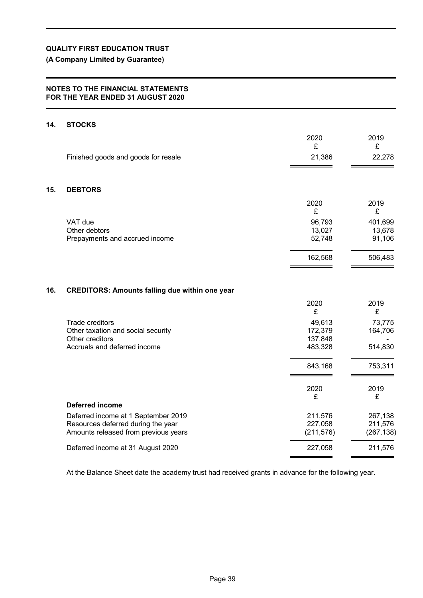# **(A Company Limited by Guarantee)**

## **NOTES TO THE FINANCIAL STATEMENTS FOR THE YEAR ENDED 31 AUGUST 2020**

### **14. STOCKS**

|     |                                                                                                          | 2020<br>£                               | 2019<br>£                    |
|-----|----------------------------------------------------------------------------------------------------------|-----------------------------------------|------------------------------|
|     | Finished goods and goods for resale                                                                      | 21,386                                  | 22,278                       |
| 15. | <b>DEBTORS</b>                                                                                           |                                         |                              |
|     |                                                                                                          | 2020<br>£                               | 2019<br>£                    |
|     | VAT due<br>Other debtors<br>Prepayments and accrued income                                               | 96,793<br>13,027<br>52,748              | 401,699<br>13,678<br>91,106  |
|     |                                                                                                          | 162,568                                 | 506,483                      |
| 16. | <b>CREDITORS: Amounts falling due within one year</b>                                                    |                                         |                              |
|     |                                                                                                          | 2020<br>£                               | 2019<br>£                    |
|     | Trade creditors<br>Other taxation and social security<br>Other creditors<br>Accruals and deferred income | 49,613<br>172,379<br>137,848<br>483,328 | 73,775<br>164,706<br>514,830 |
|     |                                                                                                          | 843,168                                 | 753,311                      |
|     |                                                                                                          | 2020<br>£                               | 2019<br>£                    |
|     | Deferred income                                                                                          |                                         |                              |
|     | Deferred income at 1 September 2019                                                                      | 211,576                                 | 267,138                      |

At the Balance Sheet date the academy trust had received grants in advance for the following year.

Resources deferred during the year 227,058 211,576 Amounts released from previous years (211,576) (267,138)

Deferred income at 31 August 2020 227,058 211,576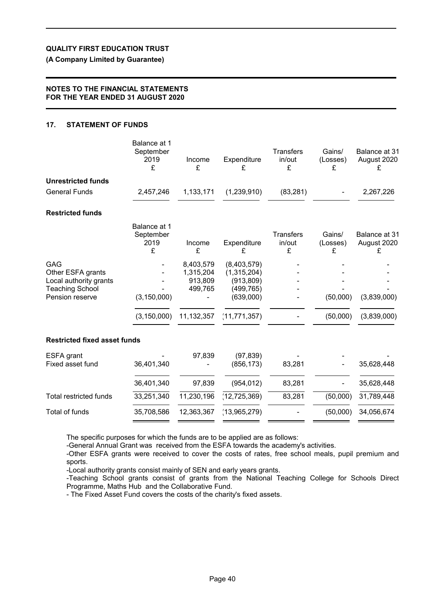**(A Company Limited by Guarantee)**

## **NOTES TO THE FINANCIAL STATEMENTS FOR THE YEAR ENDED 31 AUGUST 2020**

# **17. STATEMENT OF FUNDS**

| Balance at 1<br>September<br>2019<br>£ | Income<br>£                                  | Expenditure<br>£                                                    | <b>Transfers</b><br>in/out<br>£ | Gains/<br>(Losses)<br>£ | Balance at 31<br>August 2020<br>£ |
|----------------------------------------|----------------------------------------------|---------------------------------------------------------------------|---------------------------------|-------------------------|-----------------------------------|
|                                        |                                              |                                                                     |                                 |                         |                                   |
| 2,457,246                              | 1,133,171                                    | (1,239,910)                                                         | (83, 281)                       |                         | 2,267,226                         |
|                                        |                                              |                                                                     |                                 |                         |                                   |
| Balance at 1<br>September<br>2019<br>£ | Income<br>£                                  | Expenditure<br>£                                                    | <b>Transfers</b><br>in/out<br>£ | Gains/<br>(Losses)<br>£ | Balance at 31<br>August 2020<br>£ |
| (3, 150, 000)                          | 8,403,579<br>1,315,204<br>913,809<br>499,765 | (8,403,579)<br>(1,315,204)<br>(913, 809)<br>(499, 765)<br>(639,000) |                                 | (50,000)                | (3,839,000)                       |
| (3, 150, 000)                          | 11, 132, 357                                 | (11, 771, 357)                                                      |                                 | (50,000)                | (3,839,000)                       |
| <b>Restricted fixed asset funds</b>    |                                              |                                                                     |                                 |                         |                                   |
| 36,401,340                             | 97,839                                       | (97, 839)<br>(856, 173)                                             | 83,281                          |                         | 35,628,448                        |
| 36,401,340                             | 97,839                                       | (954, 012)                                                          | 83,281                          |                         | 35,628,448                        |
| 33,251,340                             | 11,230,196                                   | (12, 725, 369)                                                      | 83,281                          | (50,000)                | 31,789,448                        |
| 35,708,586                             | 12,363,367                                   | (13,965,279)                                                        |                                 | (50,000)                | 34,056,674                        |
|                                        |                                              |                                                                     |                                 |                         |                                   |

The specific purposes for which the funds are to be applied are as follows:

-General Annual Grant was received from the ESFA towards the academy's activities.

-Other ESFA grants were received to cover the costs of rates, free school meals, pupil premium and sports.

-Local authority grants consist mainly of SEN and early years grants.

-Teaching School grants consist of grants from the National Teaching College for Schools Direct Programme, Maths Hub and the Collaborative Fund.

- The Fixed Asset Fund covers the costs of the charity's fixed assets.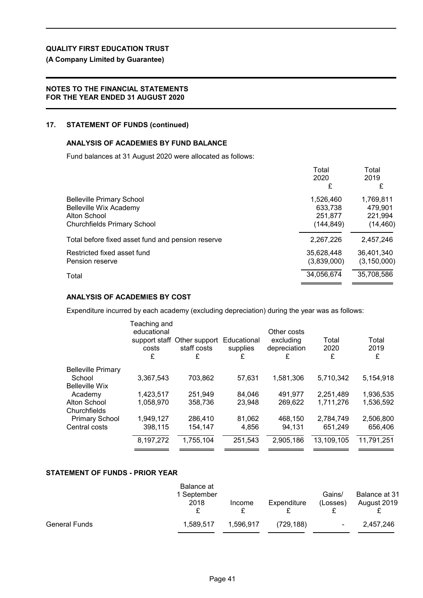# **(A Company Limited by Guarantee)**

## **NOTES TO THE FINANCIAL STATEMENTS FOR THE YEAR ENDED 31 AUGUST 2020**

## **17. STATEMENT OF FUNDS (continued)**

## **ANALYSIS OF ACADEMIES BY FUND BALANCE**

Fund balances at 31 August 2020 were allocated as follows:

|                                                                   | Total                | Total                |
|-------------------------------------------------------------------|----------------------|----------------------|
|                                                                   | 2020<br>£            | 2019<br>£            |
| <b>Belleville Primary School</b><br><b>Belleville Wix Academy</b> | 1,526,460<br>633,738 | 1,769,811<br>479.901 |
| Alton School                                                      | 251,877              | 221,994              |
| <b>Churchfields Primary School</b>                                | (144, 849)           | (14, 460)            |
| Total before fixed asset fund and pension reserve                 | 2,267,226            | 2,457,246            |
| Restricted fixed asset fund                                       | 35,628,448           | 36.401.340           |
| Pension reserve                                                   | (3,839,000)          | (3, 150, 000)        |
| Total                                                             | 34,056,674           | 35,708,586           |

## **ANALYSIS OF ACADEMIES BY COST**

Expenditure incurred by each academy (excluding depreciation) during the year was as follows:

|                           | Teaching and<br>educational<br>costs<br>£ | support staff Other support<br>staff costs<br>£ | Educational<br>supplies<br>£ | Other costs<br>excluding<br>depreciation<br>£ | Total<br>2020<br>£ | Total<br>2019<br>£ |
|---------------------------|-------------------------------------------|-------------------------------------------------|------------------------------|-----------------------------------------------|--------------------|--------------------|
| <b>Belleville Primary</b> |                                           |                                                 |                              |                                               |                    |                    |
| School                    | 3,367,543                                 | 703,862                                         | 57,631                       | 1,581,306                                     | 5,710,342          | 5,154,918          |
| <b>Belleville Wix</b>     |                                           |                                                 |                              |                                               |                    |                    |
| Academy                   | 1,423,517                                 | 251,949                                         | 84,046                       | 491,977                                       | 2,251,489          | 1,936,535          |
| Alton School              | 1,058,970                                 | 358,736                                         | 23.948                       | 269.622                                       | 1,711,276          | 1,536,592          |
| Churchfields              |                                           |                                                 |                              |                                               |                    |                    |
| <b>Primary School</b>     | 1,949,127                                 | 286,410                                         | 81,062                       | 468,150                                       | 2,784,749          | 2,506,800          |
| Central costs             | 398,115                                   | 154,147                                         | 4,856                        | 94.131                                        | 651,249            | 656,406            |
|                           | 8,197,272                                 | 1,755,104                                       | 251,543                      | 2,905,186                                     | 13,109,105         | 11,791,251         |
|                           |                                           |                                                 |                              |                                               |                    |                    |

## **STATEMENT OF FUNDS - PRIOR YEAR**

|                      | Balance at<br>1 September |           |             | Gains/         | Balance at 31 |
|----------------------|---------------------------|-----------|-------------|----------------|---------------|
|                      | 2018                      | Income    | Expenditure | (Losses)       | August 2019   |
| <b>General Funds</b> | 1.589.517                 | 1.596.917 | (729, 188)  | $\blacksquare$ | 2.457.246     |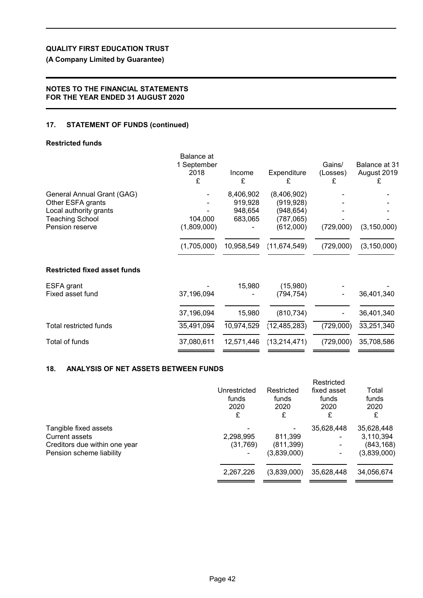# **(A Company Limited by Guarantee)**

# **NOTES TO THE FINANCIAL STATEMENTS FOR THE YEAR ENDED 31 AUGUST 2020**

# **17. STATEMENT OF FUNDS (continued)**

## **Restricted funds**

|                                                                           | Balance at<br>1 September<br>2018<br>£ | Income<br>£                     | Expenditure<br>£                        | Gains/<br>(Losses)<br>£ | Balance at 31<br>August 2019<br>£ |
|---------------------------------------------------------------------------|----------------------------------------|---------------------------------|-----------------------------------------|-------------------------|-----------------------------------|
| General Annual Grant (GAG)<br>Other ESFA grants<br>Local authority grants |                                        | 8,406,902<br>919,928<br>948,654 | (8,406,902)<br>(919, 928)<br>(948, 654) |                         |                                   |
| <b>Teaching School</b><br>Pension reserve                                 | 104,000<br>(1,809,000)                 | 683,065                         | (787,065)<br>(612,000)                  | (729,000)               | (3, 150, 000)                     |
|                                                                           | (1,705,000)                            | 10,958,549                      | (11, 674, 549)                          | (729,000)               | (3, 150, 000)                     |
| <b>Restricted fixed asset funds</b>                                       |                                        |                                 |                                         |                         |                                   |
| ESFA grant<br>Fixed asset fund                                            | 37,196,094                             | 15,980                          | (15,980)<br>(794, 754)                  |                         | 36,401,340                        |
|                                                                           | 37,196,094                             | 15,980                          | (810, 734)                              |                         | 36,401,340                        |
| Total restricted funds                                                    | 35,491,094                             | 10,974,529                      | (12, 485, 283)                          | (729,000)               | 33,251,340                        |
| Total of funds                                                            | 37,080,611                             | 12,571,446                      | (13, 214, 471)                          | (729,000)               | 35,708,586                        |

# **18. ANALYSIS OF NET ASSETS BETWEEN FUNDS**

|                                                                                 | Unrestricted<br>funds<br>2020<br>£ | Restricted<br>funds<br>2020<br>£ | Restricted<br>fixed asset<br>funds<br>2020<br>£ | Total<br>funds<br>2020<br>£           |
|---------------------------------------------------------------------------------|------------------------------------|----------------------------------|-------------------------------------------------|---------------------------------------|
| Tangible fixed assets<br><b>Current assets</b><br>Creditors due within one year | 2,298,995<br>(31,769)              | 811,399<br>(811, 399)            | 35,628,448                                      | 35,628,448<br>3,110,394<br>(843, 168) |
| Pension scheme liability                                                        | 2,267,226                          | (3,839,000)<br>(3,839,000)       | 35,628,448                                      | (3,839,000)<br>34,056,674             |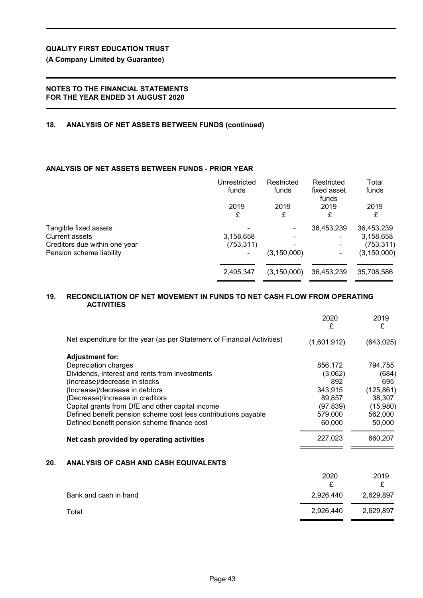**(A Company Limited by Guarantee)**

## **NOTES TO THE FINANCIAL STATEMENTS FOR THE YEAR ENDED 31 AUGUST 2020**

## **18. ANALYSIS OF NET ASSETS BETWEEN FUNDS (continued)**

# **ANALYSIS OF NET ASSETS BETWEEN FUNDS - PRIOR YEAR**

|                                                | Unrestricted<br>funds | Restricted<br>funds | Restricted<br>fixed asset<br>funds | Total<br>funds          |
|------------------------------------------------|-----------------------|---------------------|------------------------------------|-------------------------|
|                                                | 2019<br>£             | 2019<br>£           | 2019<br>£                          | 2019<br>£               |
| Tangible fixed assets<br><b>Current assets</b> | 3,158,658             |                     | 36,453,239                         | 36,453,239<br>3,158,658 |
| Creditors due within one year                  | (753, 311)            |                     |                                    | (753,311)               |
| Pension scheme liability                       |                       | (3, 150, 000)       |                                    | (3, 150, 000)           |
|                                                | 2,405,347             | (3, 150, 000)       | 36,453,239                         | 35,708,586              |

## **19. RECONCILIATION OF NET MOVEMENT IN FUNDS TO NET CASH FLOW FROM OPERATING ACTIVITIES**

|     |                                                                         | 2020<br>£   | 2019<br>£  |
|-----|-------------------------------------------------------------------------|-------------|------------|
|     | Net expenditure for the year (as per Statement of Financial Activities) | (1,601,912) | (643, 025) |
|     | <b>Adjustment for:</b>                                                  |             |            |
|     | Depreciation charges                                                    | 856,172     | 794,755    |
|     | Dividends, interest and rents from investments                          | (3,062)     | (684)      |
|     | (Increase)/decrease in stocks                                           | 892         | 695        |
|     | (Increase)/decrease in debtors                                          | 343,915     | (125, 861) |
|     | (Decrease)/increase in creditors                                        | 89,857      | 38,307     |
|     | Capital grants from DfE and other capital income                        | (97, 839)   | (15,980)   |
|     | Defined benefit pension scheme cost less contributions payable          | 579,000     | 562,000    |
|     | Defined benefit pension scheme finance cost                             | 60,000      | 50,000     |
|     | Net cash provided by operating activities                               | 227,023     | 660,207    |
| 20. | ANALYSIS OF CASH AND CASH EQUIVALENTS                                   |             |            |
|     |                                                                         | 2020<br>£   | 2019<br>£  |
|     | Bank and cash in hand                                                   | 2,926,440   | 2,629,897  |
|     | Total                                                                   | 2,926,440   | 2,629,897  |
|     |                                                                         |             |            |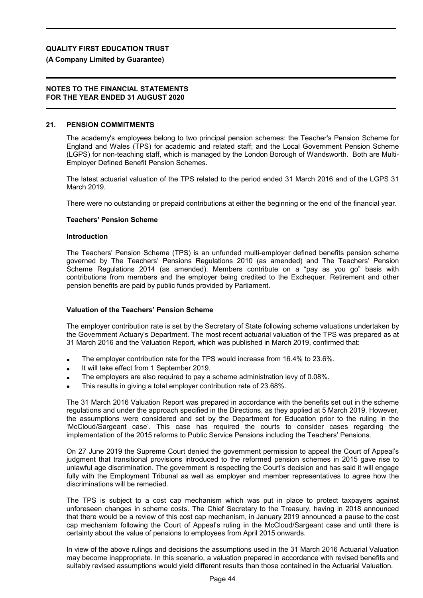## **(A Company Limited by Guarantee)**

### **NOTES TO THE FINANCIAL STATEMENTS FOR THE YEAR ENDED 31 AUGUST 2020**

### **21. PENSION COMMITMENTS**

The academy's employees belong to two principal pension schemes: the Teacher's Pension Scheme for England and Wales (TPS) for academic and related staff; and the Local Government Pension Scheme (LGPS) for non-teaching staff, which is managed by the London Borough of Wandsworth. Both are Multi-Employer Defined Benefit Pension Schemes.

The latest actuarial valuation of the TPS related to the period ended 31 March 2016 and of the LGPS 31 March 2019.

There were no outstanding or prepaid contributions at either the beginning or the end of the financial year.

### **Teachers' Pension Scheme**

#### **Introduction**

The Teachers' Pension Scheme (TPS) is an unfunded multi-employer defined benefits pension scheme governed by The Teachers' Pensions Regulations 2010 (as amended) and The Teachers' Pension Scheme Regulations 2014 (as amended). Members contribute on a "pay as you go" basis with contributions from members and the employer being credited to the Exchequer. Retirement and other pension benefits are paid by public funds provided by Parliament.

### **Valuation of the Teachers' Pension Scheme**

The employer contribution rate is set by the Secretary of State following scheme valuations undertaken by the Government Actuary's Department. The most recent actuarial valuation of the TPS was prepared as at 31 March 2016 and the Valuation Report, which was published in March 2019, confirmed that:

- The employer contribution rate for the TPS would increase from 16.4% to 23.6%.
- It will take effect from 1 September 2019.
- The employers are also required to pay a scheme administration levy of 0.08%.
- This results in giving a total employer contribution rate of 23.68%.

The 31 March 2016 Valuation Report was prepared in accordance with the benefits set out in the scheme regulations and under the approach specified in the Directions, as they applied at 5 March 2019. However, the assumptions were considered and set by the Department for Education prior to the ruling in the 'McCloud/Sargeant case'. This case has required the courts to consider cases regarding the implementation of the 2015 reforms to Public Service Pensions including the Teachers' Pensions.

On 27 June 2019 the Supreme Court denied the government permission to appeal the Court of Appeal's judgment that transitional provisions introduced to the reformed pension schemes in 2015 gave rise to unlawful age discrimination. The government is respecting the Court's decision and has said it will engage fully with the Employment Tribunal as well as employer and member representatives to agree how the discriminations will be remedied.

The TPS is subject to a cost cap mechanism which was put in place to protect taxpayers against unforeseen changes in scheme costs. The Chief Secretary to the Treasury, having in 2018 announced that there would be a review of this cost cap mechanism, in January 2019 announced a pause to the cost cap mechanism following the Court of Appeal's ruling in the McCloud/Sargeant case and until there is certainty about the value of pensions to employees from April 2015 onwards.

In view of the above rulings and decisions the assumptions used in the 31 March 2016 Actuarial Valuation may become inappropriate. In this scenario, a valuation prepared in accordance with revised benefits and suitably revised assumptions would yield different results than those contained in the Actuarial Valuation.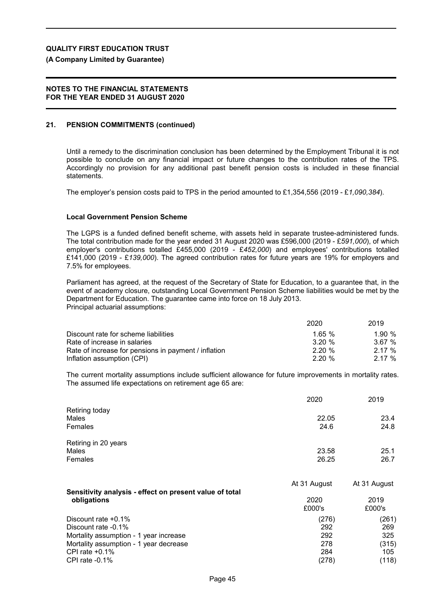### **(A Company Limited by Guarantee)**

### **NOTES TO THE FINANCIAL STATEMENTS FOR THE YEAR ENDED 31 AUGUST 2020**

## **21. PENSION COMMITMENTS (continued)**

Until a remedy to the discrimination conclusion has been determined by the Employment Tribunal it is not possible to conclude on any financial impact or future changes to the contribution rates of the TPS. Accordingly no provision for any additional past benefit pension costs is included in these financial statements.

The employer's pension costs paid to TPS in the period amounted to £1,354,556 (2019 - £*1,090,384*).

### **Local Government Pension Scheme**

The LGPS is a funded defined benefit scheme, with assets held in separate trustee-administered funds. The total contribution made for the year ended 31 August 2020 was £596,000 (2019 - £*591,000*), of which employer's contributions totalled £455,000 (2019 - £*452,000*) and employees' contributions totalled £141,000 (2019 - £*139,000*). The agreed contribution rates for future years are 19% for employers and 7.5% for employees.

Parliament has agreed, at the request of the Secretary of State for Education, to a guarantee that, in the event of academy closure, outstanding Local Government Pension Scheme liabilities would be met by the Department for Education. The guarantee came into force on 18 July 2013. Principal actuarial assumptions:

|                                                      | 2020      | 2019  |
|------------------------------------------------------|-----------|-------|
| Discount rate for scheme liabilities                 | 1.65%     | 1.90% |
| Rate of increase in salaries                         | $3.20 \%$ | 3.67% |
| Rate of increase for pensions in payment / inflation | 2.20%     | 2.17% |
| Inflation assumption (CPI)                           | 2.20%     | 2.17% |

The current mortality assumptions include sufficient allowance for future improvements in mortality rates. The assumed life expectations on retirement age 65 are:

2020 2019

| Retiring today<br>Males<br><b>Females</b>               | 22.05<br>24.6  | 23.4<br>24.8   |
|---------------------------------------------------------|----------------|----------------|
| Retiring in 20 years<br>Males<br><b>Females</b>         | 23.58<br>26.25 | 25.1<br>26.7   |
| Sensitivity analysis - effect on present value of total | At 31 August   | At 31 August   |
| obligations                                             | 2020<br>£000's | 2019<br>£000's |
| Discount rate $+0.1\%$                                  | (276)          | (261)          |
| Discount rate -0.1%                                     | 292            | 269            |
| Mortality assumption - 1 year increase                  | 292            | 325            |
| Mortality assumption - 1 year decrease                  | 278            | (315)          |
| CPI rate $+0.1\%$                                       | 284            | 105            |
| CPI rate $-0.1\%$                                       | (278)          | (118)          |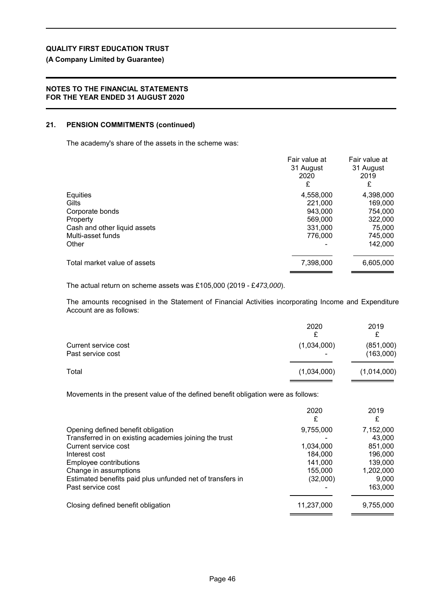# **(A Company Limited by Guarantee)**

## **NOTES TO THE FINANCIAL STATEMENTS FOR THE YEAR ENDED 31 AUGUST 2020**

## **21. PENSION COMMITMENTS (continued)**

The academy's share of the assets in the scheme was:

|                                                                                            | Fair value at<br>31 August<br>2020<br>£    | Fair value at<br>31 August<br>2019<br>£    |
|--------------------------------------------------------------------------------------------|--------------------------------------------|--------------------------------------------|
| Equities<br>Gilts<br>Corporate bonds<br>Property                                           | 4,558,000<br>221,000<br>943.000<br>569,000 | 4,398,000<br>169,000<br>754,000<br>322,000 |
| Cash and other liquid assets<br>Multi-asset funds<br>Other<br>Total market value of assets | 331,000<br>776,000<br>7,398,000            | 75,000<br>745,000<br>142,000<br>6,605,000  |

The actual return on scheme assets was £105,000 (2019 - £*473,000*).

The amounts recognised in the Statement of Financial Activities incorporating Income and Expenditure Account are as follows:

|                                           | 2020                                    | 2019<br>₽              |
|-------------------------------------------|-----------------------------------------|------------------------|
| Current service cost<br>Past service cost | (1,034,000)<br>$\overline{\phantom{0}}$ | (851,000)<br>(163,000) |
| Total                                     | (1,034,000)                             | (1,014,000)            |

Movements in the present value of the defined benefit obligation were as follows:

|                                                           | 2020<br>£  | 2019<br>£ |
|-----------------------------------------------------------|------------|-----------|
|                                                           |            |           |
| Opening defined benefit obligation                        | 9,755,000  | 7,152,000 |
| Transferred in on existing academies joining the trust    |            | 43.000    |
| Current service cost                                      | 1,034,000  | 851,000   |
| Interest cost                                             | 184.000    | 196,000   |
| Employee contributions                                    | 141,000    | 139,000   |
| Change in assumptions                                     | 155,000    | 1,202,000 |
| Estimated benefits paid plus unfunded net of transfers in | (32,000)   | 9,000     |
| Past service cost                                         |            | 163,000   |
| Closing defined benefit obligation                        |            |           |
|                                                           | 11,237,000 | 9,755,000 |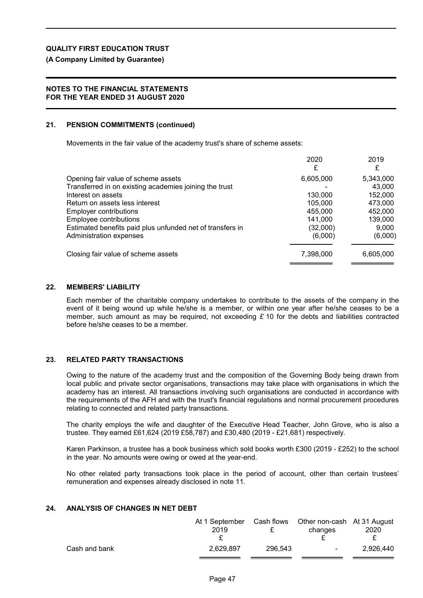**(A Company Limited by Guarantee)**

### **NOTES TO THE FINANCIAL STATEMENTS FOR THE YEAR ENDED 31 AUGUST 2020**

## **21. PENSION COMMITMENTS (continued)**

Movements in the fair value of the academy trust's share of scheme assets:

|                                                           | 2020      | 2019      |
|-----------------------------------------------------------|-----------|-----------|
|                                                           | £         | £         |
| Opening fair value of scheme assets                       | 6,605,000 | 5,343,000 |
| Transferred in on existing academies joining the trust    |           | 43,000    |
| Interest on assets                                        | 130,000   | 152,000   |
| Return on assets less interest                            | 105.000   | 473,000   |
| Employer contributions                                    | 455,000   | 452,000   |
| Employee contributions                                    | 141.000   | 139,000   |
| Estimated benefits paid plus unfunded net of transfers in | (32,000)  | 9.000     |
| Administration expenses                                   | (6,000)   | (6,000)   |
| Closing fair value of scheme assets                       | 7,398,000 | 6,605,000 |
|                                                           |           |           |

### **22. MEMBERS' LIABILITY**

Each member of the charitable company undertakes to contribute to the assets of the company in the event of it being wound up while he/she is a member, or within one year after he/she ceases to be a member, such amount as may be required, not exceeding *£* 10 for the debts and liabilities contracted before he/she ceases to be a member.

### **23. RELATED PARTY TRANSACTIONS**

Owing to the nature of the academy trust and the composition of the Governing Body being drawn from local public and private sector organisations, transactions may take place with organisations in which the academy has an interest. All transactions involving such organisations are conducted in accordance with the requirements of the AFH and with the trust's financial regulations and normal procurement procedures relating to connected and related party transactions.

The charity employs the wife and daughter of the Executive Head Teacher, John Grove, who is also a trustee. They earned £61,624 (2019 £58,787) and £30,480 (2019 - £21,681) respectively.

Karen Parkinson, a trustee has a book business which sold books worth £300 (2019 - £252) to the school in the year. No amounts were owing or owed at the year-end.

No other related party transactions took place in the period of account, other than certain trustees' remuneration and expenses already disclosed in note 11.

### **24. ANALYSIS OF CHANGES IN NET DEBT**

|               | At 1 September<br>2019 |         | Cash flows Other non-cash At 31 August<br>changes | 2020      |
|---------------|------------------------|---------|---------------------------------------------------|-----------|
| Cash and bank | 2,629,897              | 296.543 | $\sim 100$                                        | 2.926.440 |